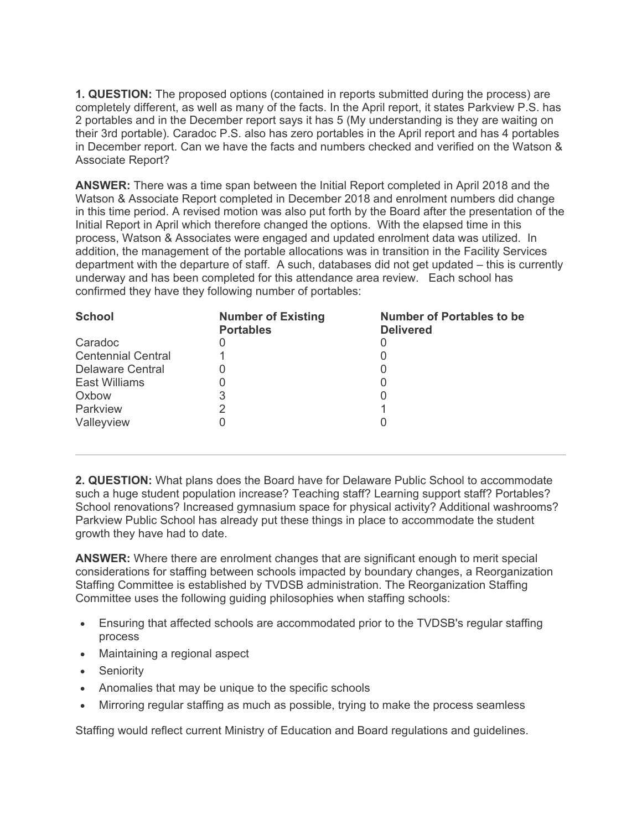**1. QUESTION:** The proposed options (contained in reports submitted during the process) are completely different, as well as many of the facts. In the April report, it states Parkview P.S. has 2 portables and in the December report says it has 5 (My understanding is they are waiting on their 3rd portable). Caradoc P.S. also has zero portables in the April report and has 4 portables in December report. Can we have the facts and numbers checked and verified on the Watson & Associate Report?

**ANSWER:** There was a time span between the Initial Report completed in April 2018 and the Watson & Associate Report completed in December 2018 and enrolment numbers did change in this time period. A revised motion was also put forth by the Board after the presentation of the Initial Report in April which therefore changed the options. With the elapsed time in this process, Watson & Associates were engaged and updated enrolment data was utilized. In addition, the management of the portable allocations was in transition in the Facility Services department with the departure of staff. A such, databases did not get updated – this is currently underway and has been completed for this attendance area review. Each school has confirmed they have they following number of portables:

| <b>School</b>             | <b>Number of Existing</b><br><b>Portables</b> | <b>Number of Portables to be</b><br><b>Delivered</b> |
|---------------------------|-----------------------------------------------|------------------------------------------------------|
| Caradoc                   |                                               |                                                      |
| <b>Centennial Central</b> |                                               |                                                      |
| Delaware Central          |                                               |                                                      |
| East Williams             |                                               |                                                      |
| Oxbow                     | 3                                             |                                                      |
| Parkview                  |                                               |                                                      |
| Valleyview                |                                               |                                                      |
|                           |                                               |                                                      |

**2. QUESTION:** What plans does the Board have for Delaware Public School to accommodate such a huge student population increase? Teaching staff? Learning support staff? Portables? School renovations? Increased gymnasium space for physical activity? Additional washrooms? Parkview Public School has already put these things in place to accommodate the student growth they have had to date.

**ANSWER:** Where there are enrolment changes that are significant enough to merit special considerations for staffing between schools impacted by boundary changes, a Reorganization Staffing Committee is established by TVDSB administration. The Reorganization Staffing Committee uses the following guiding philosophies when staffing schools:

- Ensuring that affected schools are accommodated prior to the TVDSB's regular staffing process
- Maintaining a regional aspect
- Seniority
- Anomalies that may be unique to the specific schools
- Mirroring regular staffing as much as possible, trying to make the process seamless

Staffing would reflect current Ministry of Education and Board regulations and guidelines.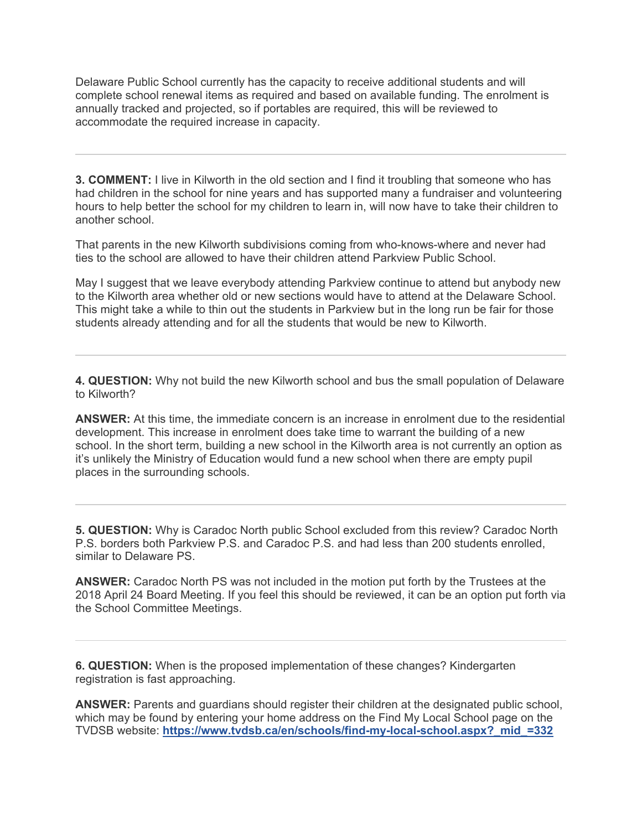Delaware Public School currently has the capacity to receive additional students and will complete school renewal items as required and based on available funding. The enrolment is annually tracked and projected, so if portables are required, this will be reviewed to accommodate the required increase in capacity.

**3. COMMENT:** I live in Kilworth in the old section and I find it troubling that someone who has had children in the school for nine years and has supported many a fundraiser and volunteering hours to help better the school for my children to learn in, will now have to take their children to another school.

That parents in the new Kilworth subdivisions coming from who-knows-where and never had ties to the school are allowed to have their children attend Parkview Public School.

May I suggest that we leave everybody attending Parkview continue to attend but anybody new to the Kilworth area whether old or new sections would have to attend at the Delaware School. This might take a while to thin out the students in Parkview but in the long run be fair for those students already attending and for all the students that would be new to Kilworth.

**4. QUESTION:** Why not build the new Kilworth school and bus the small population of Delaware to Kilworth?

**ANSWER:** At this time, the immediate concern is an increase in enrolment due to the residential development. This increase in enrolment does take time to warrant the building of a new school. In the short term, building a new school in the Kilworth area is not currently an option as it's unlikely the Ministry of Education would fund a new school when there are empty pupil places in the surrounding schools.

**5. QUESTION:** Why is Caradoc North public School excluded from this review? Caradoc North P.S. borders both Parkview P.S. and Caradoc P.S. and had less than 200 students enrolled, similar to Delaware PS.

**ANSWER:** Caradoc North PS was not included in the motion put forth by the Trustees at the 2018 April 24 Board Meeting. If you feel this should be reviewed, it can be an option put forth via the School Committee Meetings.

**6. QUESTION:** When is the proposed implementation of these changes? Kindergarten registration is fast approaching.

**ANSWER:** Parents and guardians should register their children at the designated public school, which may be found by entering your home address on the Find My Local School page on the TVDSB website: **https://www.tvdsb.ca/en/schools/find-my-local-school.aspx?\_mid\_=332**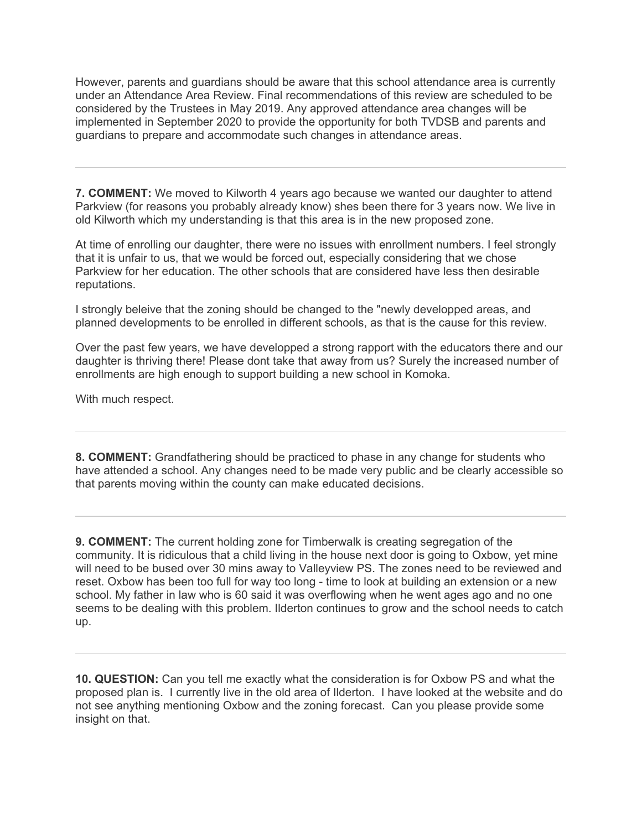However, parents and guardians should be aware that this school attendance area is currently under an Attendance Area Review. Final recommendations of this review are scheduled to be considered by the Trustees in May 2019. Any approved attendance area changes will be implemented in September 2020 to provide the opportunity for both TVDSB and parents and guardians to prepare and accommodate such changes in attendance areas.

**7. COMMENT:** We moved to Kilworth 4 years ago because we wanted our daughter to attend Parkview (for reasons you probably already know) shes been there for 3 years now. We live in old Kilworth which my understanding is that this area is in the new proposed zone.

At time of enrolling our daughter, there were no issues with enrollment numbers. I feel strongly that it is unfair to us, that we would be forced out, especially considering that we chose Parkview for her education. The other schools that are considered have less then desirable reputations.

I strongly beleive that the zoning should be changed to the "newly developped areas, and planned developments to be enrolled in different schools, as that is the cause for this review.

Over the past few years, we have developped a strong rapport with the educators there and our daughter is thriving there! Please dont take that away from us? Surely the increased number of enrollments are high enough to support building a new school in Komoka.

With much respect.

**8. COMMENT:** Grandfathering should be practiced to phase in any change for students who have attended a school. Any changes need to be made very public and be clearly accessible so that parents moving within the county can make educated decisions.

**9. COMMENT:** The current holding zone for Timberwalk is creating segregation of the community. It is ridiculous that a child living in the house next door is going to Oxbow, yet mine will need to be bused over 30 mins away to Valleyview PS. The zones need to be reviewed and reset. Oxbow has been too full for way too long - time to look at building an extension or a new school. My father in law who is 60 said it was overflowing when he went ages ago and no one seems to be dealing with this problem. Ilderton continues to grow and the school needs to catch up.

**10. QUESTION:** Can you tell me exactly what the consideration is for Oxbow PS and what the proposed plan is. I currently live in the old area of Ilderton. I have looked at the website and do not see anything mentioning Oxbow and the zoning forecast. Can you please provide some insight on that.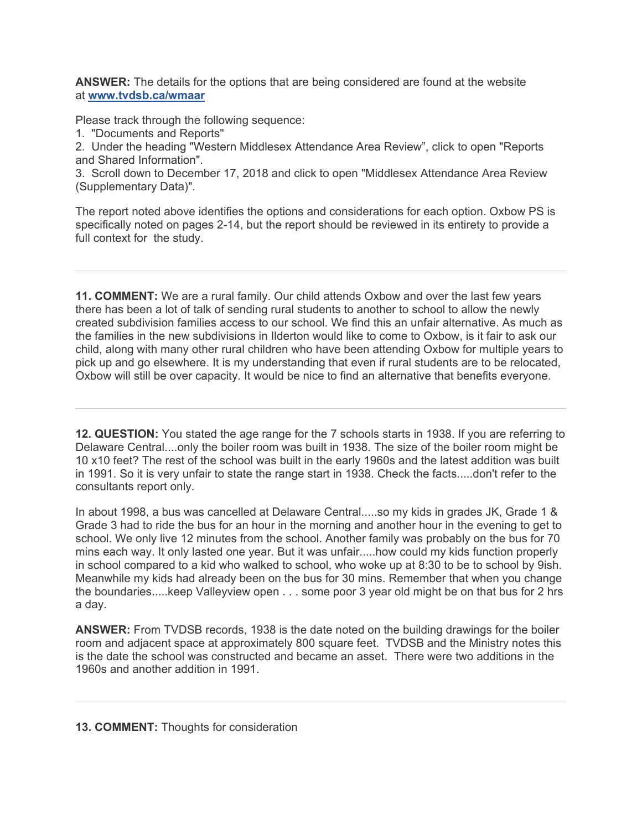**ANSWER:** The details for the options that are being considered are found at the website at **www.tvdsb.ca/wmaar**

Please track through the following sequence:

1. "Documents and Reports"

2. Under the heading "Western Middlesex Attendance Area Review", click to open "Reports and Shared Information".

3. Scroll down to December 17, 2018 and click to open "Middlesex Attendance Area Review (Supplementary Data)".

The report noted above identifies the options and considerations for each option. Oxbow PS is specifically noted on pages 2-14, but the report should be reviewed in its entirety to provide a full context for the study.

**11. COMMENT:** We are a rural family. Our child attends Oxbow and over the last few years there has been a lot of talk of sending rural students to another to school to allow the newly created subdivision families access to our school. We find this an unfair alternative. As much as the families in the new subdivisions in Ilderton would like to come to Oxbow, is it fair to ask our child, along with many other rural children who have been attending Oxbow for multiple years to pick up and go elsewhere. It is my understanding that even if rural students are to be relocated, Oxbow will still be over capacity. It would be nice to find an alternative that benefits everyone.

**12. QUESTION:** You stated the age range for the 7 schools starts in 1938. If you are referring to Delaware Central....only the boiler room was built in 1938. The size of the boiler room might be 10 x10 feet? The rest of the school was built in the early 1960s and the latest addition was built in 1991. So it is very unfair to state the range start in 1938. Check the facts.....don't refer to the consultants report only.

In about 1998, a bus was cancelled at Delaware Central.....so my kids in grades JK, Grade 1 & Grade 3 had to ride the bus for an hour in the morning and another hour in the evening to get to school. We only live 12 minutes from the school. Another family was probably on the bus for 70 mins each way. It only lasted one year. But it was unfair.....how could my kids function properly in school compared to a kid who walked to school, who woke up at 8:30 to be to school by 9ish. Meanwhile my kids had already been on the bus for 30 mins. Remember that when you change the boundaries.....keep Valleyview open . . . some poor 3 year old might be on that bus for 2 hrs a day.

**ANSWER:** From TVDSB records, 1938 is the date noted on the building drawings for the boiler room and adjacent space at approximately 800 square feet. TVDSB and the Ministry notes this is the date the school was constructed and became an asset. There were two additions in the 1960s and another addition in 1991.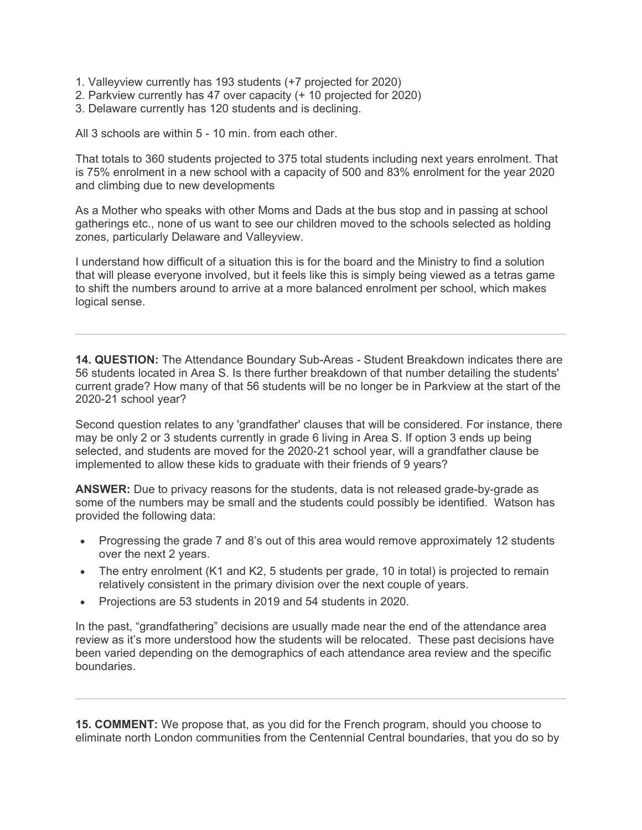- 1. Valleyview currently has 193 students (+7 projected for 2020)
- 2. Parkview currently has 47 over capacity (+ 10 projected for 2020)
- 3. Delaware currently has 120 students and is declining.

All 3 schools are within 5 - 10 min. from each other.

That totals to 360 students projected to 375 total students including next years enrolment. That is 75% enrolment in a new school with a capacity of 500 and 83% enrolment for the year 2020 and climbing due to new developments

As a Mother who speaks with other Moms and Dads at the bus stop and in passing at school gatherings etc., none of us want to see our children moved to the schools selected as holding zones, particularly Delaware and Valleyview.

I understand how difficult of a situation this is for the board and the Ministry to find a solution that will please everyone involved, but it feels like this is simply being viewed as a tetras game to shift the numbers around to arrive at a more balanced enrolment per school, which makes logical sense.

**14. QUESTION:** The Attendance Boundary Sub-Areas - Student Breakdown indicates there are 56 students located in Area S. Is there further breakdown of that number detailing the students' current grade? How many of that 56 students will be no longer be in Parkview at the start of the 2020-21 school year?

Second question relates to any 'grandfather' clauses that will be considered. For instance, there may be only 2 or 3 students currently in grade 6 living in Area S. If option 3 ends up being selected, and students are moved for the 2020-21 school year, will a grandfather clause be implemented to allow these kids to graduate with their friends of 9 years?

**ANSWER:** Due to privacy reasons for the students, data is not released grade-by-grade as some of the numbers may be small and the students could possibly be identified. Watson has provided the following data:

- Progressing the grade 7 and 8's out of this area would remove approximately 12 students over the next 2 years.
- The entry enrolment (K1 and K2, 5 students per grade, 10 in total) is projected to remain relatively consistent in the primary division over the next couple of years.
- Projections are 53 students in 2019 and 54 students in 2020.

In the past, "grandfathering" decisions are usually made near the end of the attendance area review as it's more understood how the students will be relocated. These past decisions have been varied depending on the demographics of each attendance area review and the specific boundaries.

**15. COMMENT:** We propose that, as you did for the French program, should you choose to eliminate north London communities from the Centennial Central boundaries, that you do so by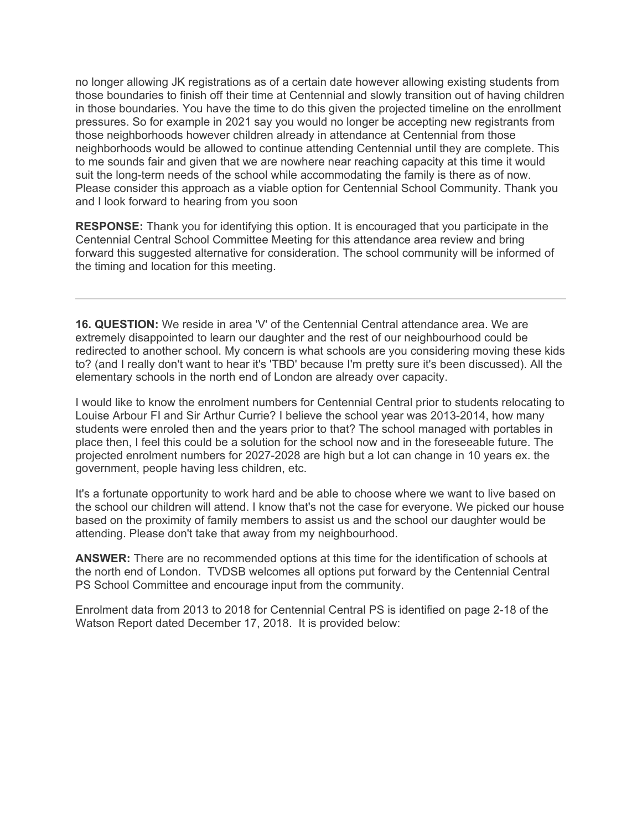no longer allowing JK registrations as of a certain date however allowing existing students from those boundaries to finish off their time at Centennial and slowly transition out of having children in those boundaries. You have the time to do this given the projected timeline on the enrollment pressures. So for example in 2021 say you would no longer be accepting new registrants from those neighborhoods however children already in attendance at Centennial from those neighborhoods would be allowed to continue attending Centennial until they are complete. This to me sounds fair and given that we are nowhere near reaching capacity at this time it would suit the long-term needs of the school while accommodating the family is there as of now. Please consider this approach as a viable option for Centennial School Community. Thank you and I look forward to hearing from you soon

**RESPONSE:** Thank you for identifying this option. It is encouraged that you participate in the Centennial Central School Committee Meeting for this attendance area review and bring forward this suggested alternative for consideration. The school community will be informed of the timing and location for this meeting.

**16. QUESTION:** We reside in area 'V' of the Centennial Central attendance area. We are extremely disappointed to learn our daughter and the rest of our neighbourhood could be redirected to another school. My concern is what schools are you considering moving these kids to? (and I really don't want to hear it's 'TBD' because I'm pretty sure it's been discussed). All the elementary schools in the north end of London are already over capacity.

I would like to know the enrolment numbers for Centennial Central prior to students relocating to Louise Arbour FI and Sir Arthur Currie? I believe the school year was 2013-2014, how many students were enroled then and the years prior to that? The school managed with portables in place then, I feel this could be a solution for the school now and in the foreseeable future. The projected enrolment numbers for 2027-2028 are high but a lot can change in 10 years ex. the government, people having less children, etc.

It's a fortunate opportunity to work hard and be able to choose where we want to live based on the school our children will attend. I know that's not the case for everyone. We picked our house based on the proximity of family members to assist us and the school our daughter would be attending. Please don't take that away from my neighbourhood.

**ANSWER:** There are no recommended options at this time for the identification of schools at the north end of London. TVDSB welcomes all options put forward by the Centennial Central PS School Committee and encourage input from the community.

Enrolment data from 2013 to 2018 for Centennial Central PS is identified on page 2-18 of the Watson Report dated December 17, 2018. It is provided below: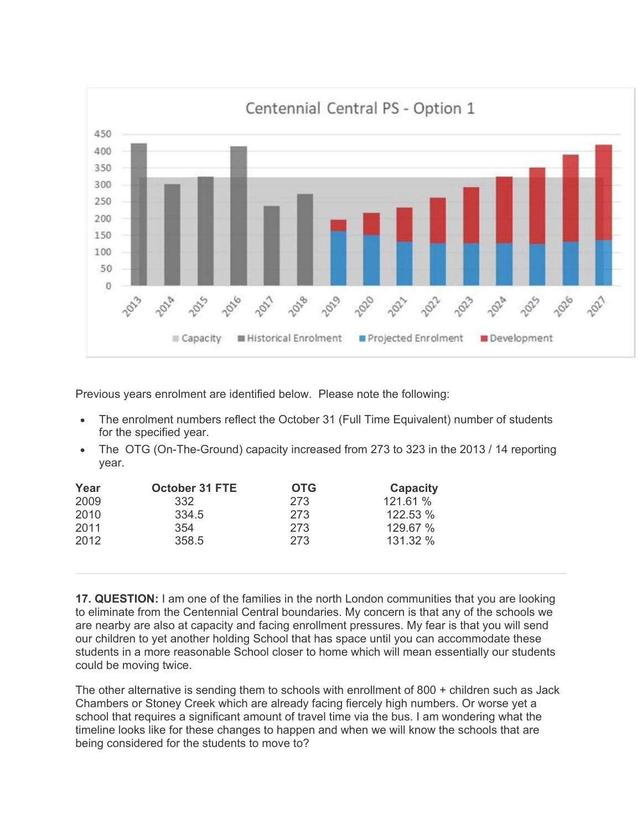

Previous years enrolment are identified below. Please note the following:

- The enrolment numbers reflect the October 31 (Full Time Equivalent) number of students for the specified year.
- The OTG (On-The-Ground) capacity increased from 273 to 323 in the 2013 / 14 reporting year.

| Year | <b>October 31 FTE</b> | <b>OTG</b> | Capacity |
|------|-----------------------|------------|----------|
| 2009 | 332                   | 273        | 121.61 % |
| 2010 | 334.5                 | 273        | 122.53 % |
| 2011 | 354                   | 273        | 129.67 % |
| 2012 | 358.5                 | 273        | 131.32 % |

**17. QUESTION:** I am one of the families in the north London communities that you are looking to eliminate from the Centennial Central boundaries. My concern is that any of the schools we are nearby are also at capacity and facing enrollment pressures. My fear is that you will send our children to yet another holding School that has space until you can accommodate these students in a more reasonable School closer to home which will mean essentially our students could be moving twice.

The other alternative is sending them to schools with enrollment of 800 + children such as Jack Chambers or Stoney Creek which are already facing fiercely high numbers. Or worse yet a school that requires a significant amount of travel time via the bus. I am wondering what the timeline looks like for these changes to happen and when we will know the schools that are being considered for the students to move to?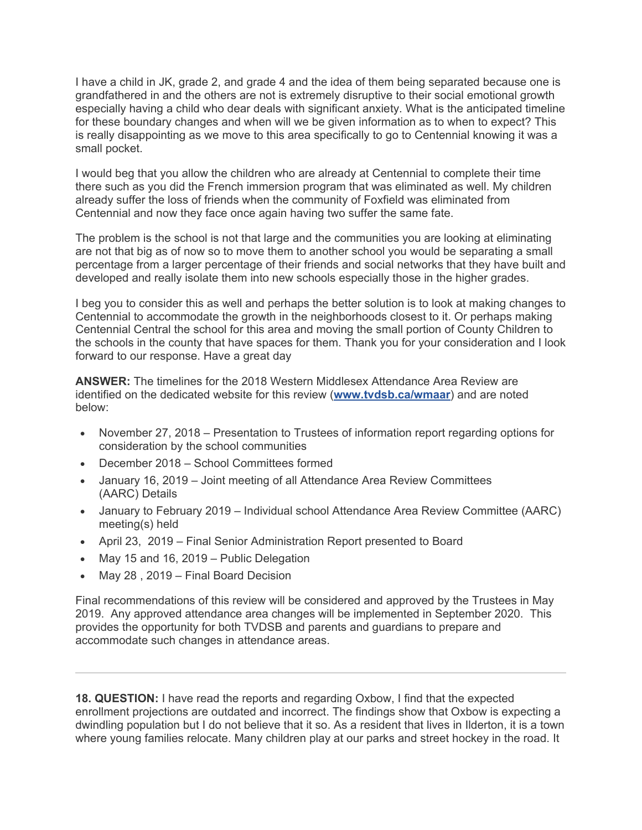I have a child in JK, grade 2, and grade 4 and the idea of them being separated because one is grandfathered in and the others are not is extremely disruptive to their social emotional growth especially having a child who dear deals with significant anxiety. What is the anticipated timeline for these boundary changes and when will we be given information as to when to expect? This is really disappointing as we move to this area specifically to go to Centennial knowing it was a small pocket.

I would beg that you allow the children who are already at Centennial to complete their time there such as you did the French immersion program that was eliminated as well. My children already suffer the loss of friends when the community of Foxfield was eliminated from Centennial and now they face once again having two suffer the same fate.

The problem is the school is not that large and the communities you are looking at eliminating are not that big as of now so to move them to another school you would be separating a small percentage from a larger percentage of their friends and social networks that they have built and developed and really isolate them into new schools especially those in the higher grades.

I beg you to consider this as well and perhaps the better solution is to look at making changes to Centennial to accommodate the growth in the neighborhoods closest to it. Or perhaps making Centennial Central the school for this area and moving the small portion of County Children to the schools in the county that have spaces for them. Thank you for your consideration and I look forward to our response. Have a great day

**ANSWER:** The timelines for the 2018 Western Middlesex Attendance Area Review are identified on the dedicated website for this review (**www.tvdsb.ca/wmaar**) and are noted below:

- November 27, 2018 Presentation to Trustees of information report regarding options for consideration by the school communities
- December 2018 School Committees formed
- January 16, 2019 Joint meeting of all Attendance Area Review Committees (AARC) Details
- January to February 2019 Individual school Attendance Area Review Committee (AARC) meeting(s) held
- April 23, 2019 Final Senior Administration Report presented to Board
- May 15 and 16, 2019 Public Delegation
- May 28 , 2019 Final Board Decision

Final recommendations of this review will be considered and approved by the Trustees in May 2019. Any approved attendance area changes will be implemented in September 2020. This provides the opportunity for both TVDSB and parents and guardians to prepare and accommodate such changes in attendance areas.

**18. QUESTION:** I have read the reports and regarding Oxbow, I find that the expected enrollment projections are outdated and incorrect. The findings show that Oxbow is expecting a dwindling population but I do not believe that it so. As a resident that lives in Ilderton, it is a town where young families relocate. Many children play at our parks and street hockey in the road. It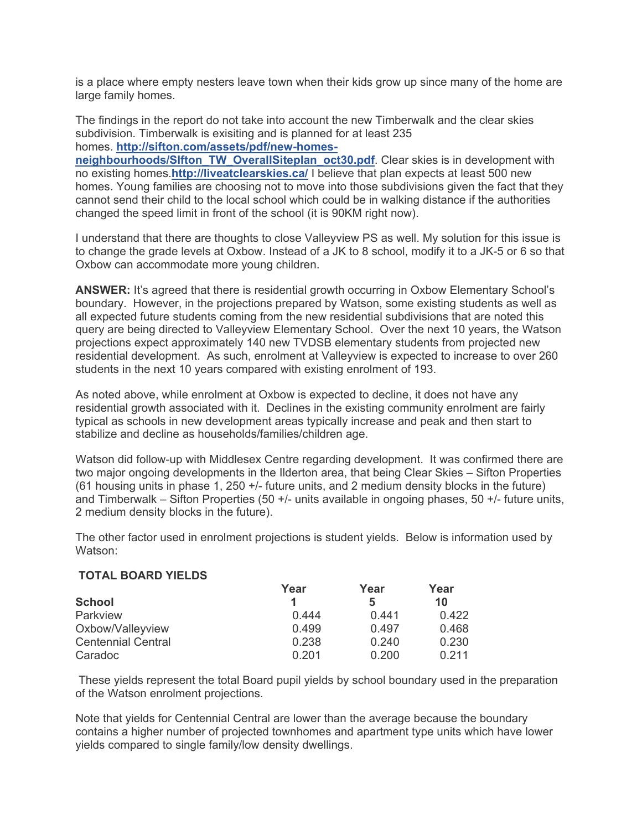is a place where empty nesters leave town when their kids grow up since many of the home are large family homes.

The findings in the report do not take into account the new Timberwalk and the clear skies subdivision. Timberwalk is exisiting and is planned for at least 235 homes. **http://sifton.com/assets/pdf/new-homes-**

**neighbourhoods/SIfton\_TW\_OverallSiteplan\_oct30.pdf**. Clear skies is in development with no existing homes.**http://liveatclearskies.ca/** I believe that plan expects at least 500 new homes. Young families are choosing not to move into those subdivisions given the fact that they cannot send their child to the local school which could be in walking distance if the authorities changed the speed limit in front of the school (it is 90KM right now).

I understand that there are thoughts to close Valleyview PS as well. My solution for this issue is to change the grade levels at Oxbow. Instead of a JK to 8 school, modify it to a JK-5 or 6 so that Oxbow can accommodate more young children.

**ANSWER:** It's agreed that there is residential growth occurring in Oxbow Elementary School's boundary. However, in the projections prepared by Watson, some existing students as well as all expected future students coming from the new residential subdivisions that are noted this query are being directed to Valleyview Elementary School. Over the next 10 years, the Watson projections expect approximately 140 new TVDSB elementary students from projected new residential development. As such, enrolment at Valleyview is expected to increase to over 260 students in the next 10 years compared with existing enrolment of 193.

As noted above, while enrolment at Oxbow is expected to decline, it does not have any residential growth associated with it. Declines in the existing community enrolment are fairly typical as schools in new development areas typically increase and peak and then start to stabilize and decline as households/families/children age.

Watson did follow-up with Middlesex Centre regarding development. It was confirmed there are two major ongoing developments in the Ilderton area, that being Clear Skies – Sifton Properties (61 housing units in phase 1, 250 +/- future units, and 2 medium density blocks in the future) and Timberwalk – Sifton Properties (50 +/- units available in ongoing phases, 50 +/- future units, 2 medium density blocks in the future).

The other factor used in enrolment projections is student yields. Below is information used by Watson:

### **TOTAL BOARD YIELDS**

|                           | Year  | Year  | Year  |
|---------------------------|-------|-------|-------|
| <b>School</b>             |       | 5     | 10    |
| Parkview                  | 0.444 | 0.441 | 0.422 |
| Oxbow/Valleyview          | 0.499 | 0.497 | 0.468 |
| <b>Centennial Central</b> | 0.238 | 0.240 | 0.230 |
| Caradoc                   | 0.201 | 0.200 | 0.211 |

 These yields represent the total Board pupil yields by school boundary used in the preparation of the Watson enrolment projections.

Note that yields for Centennial Central are lower than the average because the boundary contains a higher number of projected townhomes and apartment type units which have lower yields compared to single family/low density dwellings.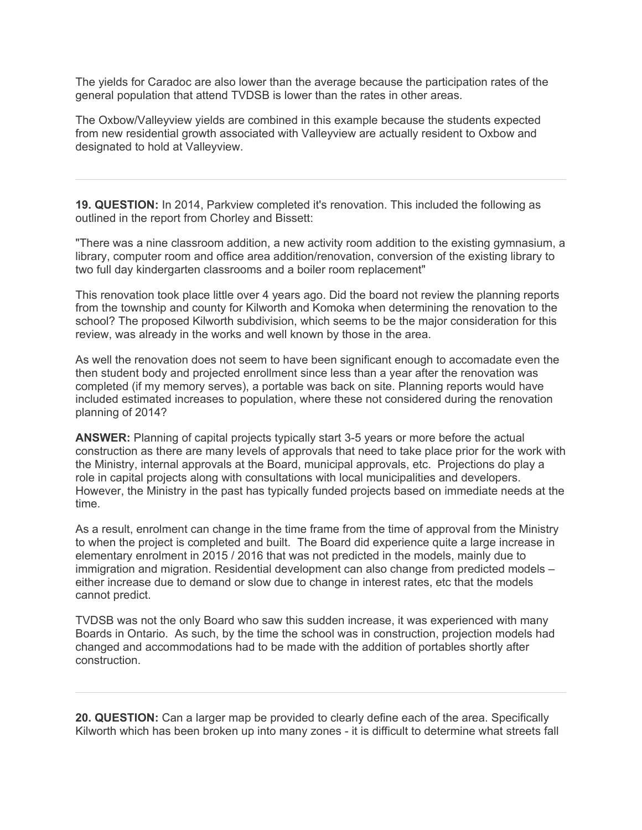The yields for Caradoc are also lower than the average because the participation rates of the general population that attend TVDSB is lower than the rates in other areas.

The Oxbow/Valleyview yields are combined in this example because the students expected from new residential growth associated with Valleyview are actually resident to Oxbow and designated to hold at Valleyview.

**19. QUESTION:** In 2014, Parkview completed it's renovation. This included the following as outlined in the report from Chorley and Bissett:

"There was a nine classroom addition, a new activity room addition to the existing gymnasium, a library, computer room and office area addition/renovation, conversion of the existing library to two full day kindergarten classrooms and a boiler room replacement"

This renovation took place little over 4 years ago. Did the board not review the planning reports from the township and county for Kilworth and Komoka when determining the renovation to the school? The proposed Kilworth subdivision, which seems to be the major consideration for this review, was already in the works and well known by those in the area.

As well the renovation does not seem to have been significant enough to accomadate even the then student body and projected enrollment since less than a year after the renovation was completed (if my memory serves), a portable was back on site. Planning reports would have included estimated increases to population, where these not considered during the renovation planning of 2014?

**ANSWER:** Planning of capital projects typically start 3-5 years or more before the actual construction as there are many levels of approvals that need to take place prior for the work with the Ministry, internal approvals at the Board, municipal approvals, etc. Projections do play a role in capital projects along with consultations with local municipalities and developers. However, the Ministry in the past has typically funded projects based on immediate needs at the time.

As a result, enrolment can change in the time frame from the time of approval from the Ministry to when the project is completed and built. The Board did experience quite a large increase in elementary enrolment in 2015 / 2016 that was not predicted in the models, mainly due to immigration and migration. Residential development can also change from predicted models – either increase due to demand or slow due to change in interest rates, etc that the models cannot predict.

TVDSB was not the only Board who saw this sudden increase, it was experienced with many Boards in Ontario. As such, by the time the school was in construction, projection models had changed and accommodations had to be made with the addition of portables shortly after construction.

**20. QUESTION:** Can a larger map be provided to clearly define each of the area. Specifically Kilworth which has been broken up into many zones - it is difficult to determine what streets fall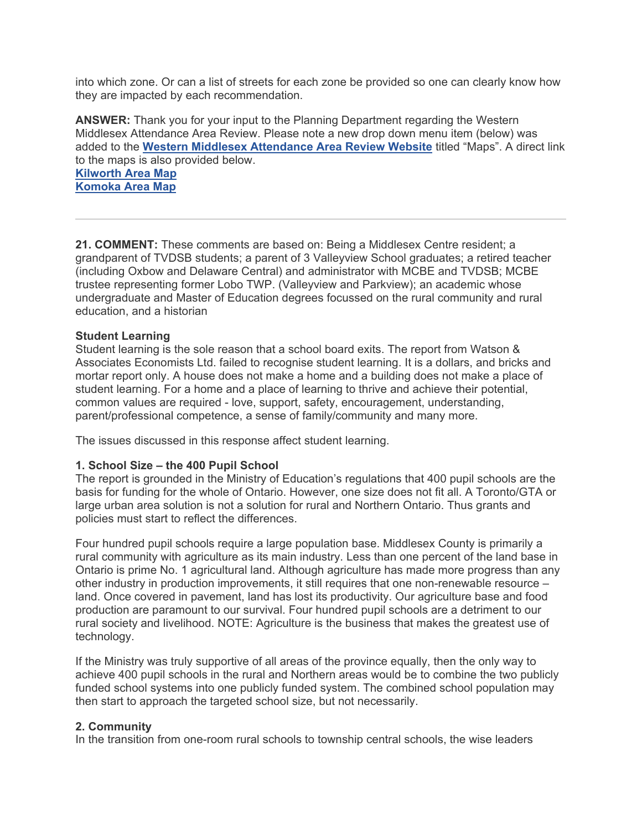into which zone. Or can a list of streets for each zone be provided so one can clearly know how they are impacted by each recommendation.

**ANSWER:** Thank you for your input to the Planning Department regarding the Western Middlesex Attendance Area Review. Please note a new drop down menu item (below) was added to the **Western Middlesex Attendance Area Review Website** titled "Maps". A direct link to the maps is also provided below.

**Kilworth Area Map Komoka Area Map**

**21. COMMENT:** These comments are based on: Being a Middlesex Centre resident; a grandparent of TVDSB students; a parent of 3 Valleyview School graduates; a retired teacher (including Oxbow and Delaware Central) and administrator with MCBE and TVDSB; MCBE trustee representing former Lobo TWP. (Valleyview and Parkview); an academic whose undergraduate and Master of Education degrees focussed on the rural community and rural education, and a historian

## **Student Learning**

Student learning is the sole reason that a school board exits. The report from Watson & Associates Economists Ltd. failed to recognise student learning. It is a dollars, and bricks and mortar report only. A house does not make a home and a building does not make a place of student learning. For a home and a place of learning to thrive and achieve their potential, common values are required - love, support, safety, encouragement, understanding, parent/professional competence, a sense of family/community and many more.

The issues discussed in this response affect student learning.

### **1. School Size – the 400 Pupil School**

The report is grounded in the Ministry of Education's regulations that 400 pupil schools are the basis for funding for the whole of Ontario. However, one size does not fit all. A Toronto/GTA or large urban area solution is not a solution for rural and Northern Ontario. Thus grants and policies must start to reflect the differences.

Four hundred pupil schools require a large population base. Middlesex County is primarily a rural community with agriculture as its main industry. Less than one percent of the land base in Ontario is prime No. 1 agricultural land. Although agriculture has made more progress than any other industry in production improvements, it still requires that one non-renewable resource – land. Once covered in pavement, land has lost its productivity. Our agriculture base and food production are paramount to our survival. Four hundred pupil schools are a detriment to our rural society and livelihood. NOTE: Agriculture is the business that makes the greatest use of technology.

If the Ministry was truly supportive of all areas of the province equally, then the only way to achieve 400 pupil schools in the rural and Northern areas would be to combine the two publicly funded school systems into one publicly funded system. The combined school population may then start to approach the targeted school size, but not necessarily.

### **2. Community**

In the transition from one-room rural schools to township central schools, the wise leaders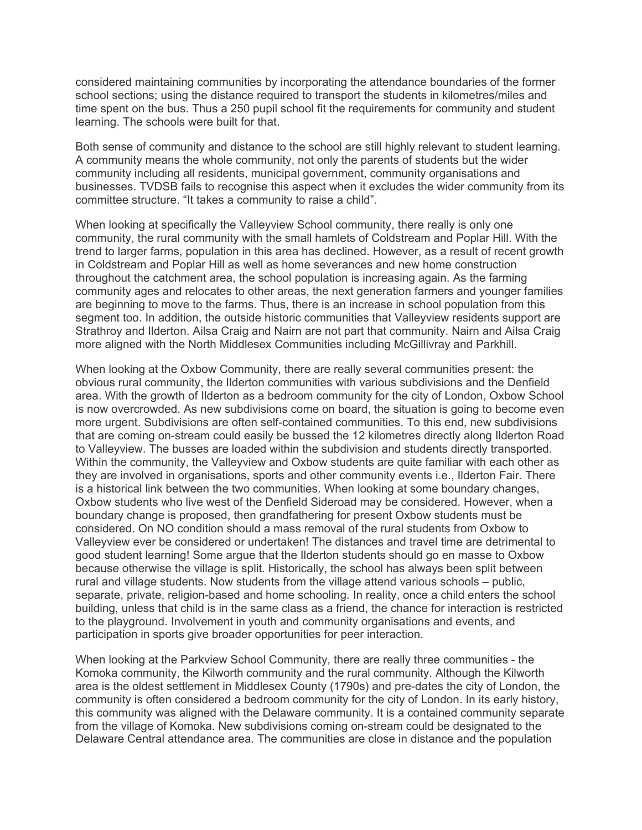considered maintaining communities by incorporating the attendance boundaries of the former school sections; using the distance required to transport the students in kilometres/miles and time spent on the bus. Thus a 250 pupil school fit the requirements for community and student learning. The schools were built for that.

Both sense of community and distance to the school are still highly relevant to student learning. A community means the whole community, not only the parents of students but the wider community including all residents, municipal government, community organisations and businesses. TVDSB fails to recognise this aspect when it excludes the wider community from its committee structure. "It takes a community to raise a child".

When looking at specifically the Valleyview School community, there really is only one community, the rural community with the small hamlets of Coldstream and Poplar Hill. With the trend to larger farms, population in this area has declined. However, as a result of recent growth in Coldstream and Poplar Hill as well as home severances and new home construction throughout the catchment area, the school population is increasing again. As the farming community ages and relocates to other areas, the next generation farmers and younger families are beginning to move to the farms. Thus, there is an increase in school population from this segment too. In addition, the outside historic communities that Valleyview residents support are Strathroy and Ilderton. Ailsa Craig and Nairn are not part that community. Nairn and Ailsa Craig more aligned with the North Middlesex Communities including McGillivray and Parkhill.

When looking at the Oxbow Community, there are really several communities present: the obvious rural community, the Ilderton communities with various subdivisions and the Denfield area. With the growth of Ilderton as a bedroom community for the city of London, Oxbow School is now overcrowded. As new subdivisions come on board, the situation is going to become even more urgent. Subdivisions are often self-contained communities. To this end, new subdivisions that are coming on-stream could easily be bussed the 12 kilometres directly along Ilderton Road to Valleyview. The busses are loaded within the subdivision and students directly transported. Within the community, the Valleyview and Oxbow students are quite familiar with each other as they are involved in organisations, sports and other community events i.e., Ilderton Fair. There is a historical link between the two communities. When looking at some boundary changes, Oxbow students who live west of the Denfield Sideroad may be considered. However, when a boundary change is proposed, then grandfathering for present Oxbow students must be considered. On NO condition should a mass removal of the rural students from Oxbow to Valleyview ever be considered or undertaken! The distances and travel time are detrimental to good student learning! Some argue that the Ilderton students should go en masse to Oxbow because otherwise the village is split. Historically, the school has always been split between rural and village students. Now students from the village attend various schools – public, separate, private, religion-based and home schooling. In reality, once a child enters the school building, unless that child is in the same class as a friend, the chance for interaction is restricted to the playground. Involvement in youth and community organisations and events, and participation in sports give broader opportunities for peer interaction.

When looking at the Parkview School Community, there are really three communities - the Komoka community, the Kilworth community and the rural community. Although the Kilworth area is the oldest settlement in Middlesex County (1790s) and pre-dates the city of London, the community is often considered a bedroom community for the city of London. In its early history, this community was aligned with the Delaware community. It is a contained community separate from the village of Komoka. New subdivisions coming on-stream could be designated to the Delaware Central attendance area. The communities are close in distance and the population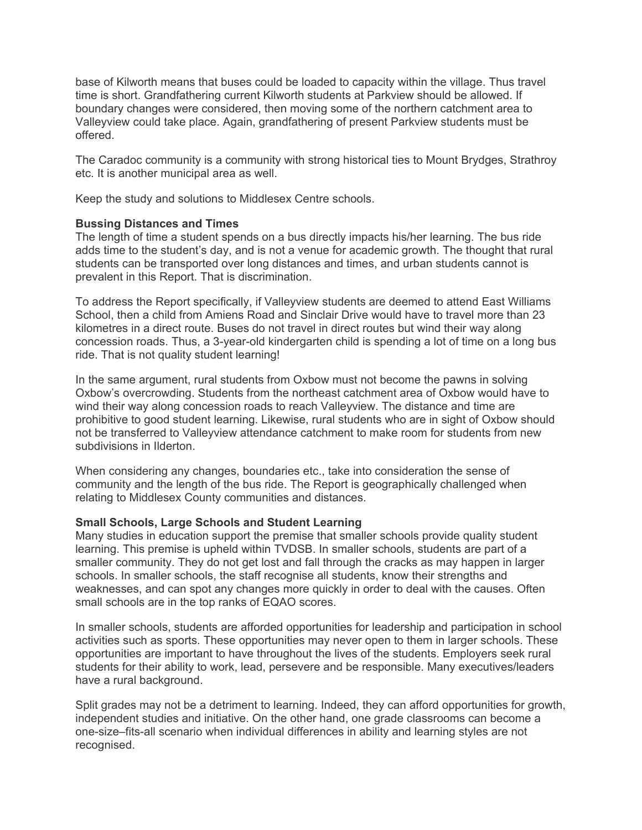base of Kilworth means that buses could be loaded to capacity within the village. Thus travel time is short. Grandfathering current Kilworth students at Parkview should be allowed. If boundary changes were considered, then moving some of the northern catchment area to Valleyview could take place. Again, grandfathering of present Parkview students must be offered.

The Caradoc community is a community with strong historical ties to Mount Brydges, Strathroy etc. It is another municipal area as well.

Keep the study and solutions to Middlesex Centre schools.

## **Bussing Distances and Times**

The length of time a student spends on a bus directly impacts his/her learning. The bus ride adds time to the student's day, and is not a venue for academic growth. The thought that rural students can be transported over long distances and times, and urban students cannot is prevalent in this Report. That is discrimination.

To address the Report specifically, if Valleyview students are deemed to attend East Williams School, then a child from Amiens Road and Sinclair Drive would have to travel more than 23 kilometres in a direct route. Buses do not travel in direct routes but wind their way along concession roads. Thus, a 3-year-old kindergarten child is spending a lot of time on a long bus ride. That is not quality student learning!

In the same argument, rural students from Oxbow must not become the pawns in solving Oxbow's overcrowding. Students from the northeast catchment area of Oxbow would have to wind their way along concession roads to reach Valleyview. The distance and time are prohibitive to good student learning. Likewise, rural students who are in sight of Oxbow should not be transferred to Valleyview attendance catchment to make room for students from new subdivisions in Ilderton.

When considering any changes, boundaries etc., take into consideration the sense of community and the length of the bus ride. The Report is geographically challenged when relating to Middlesex County communities and distances.

# **Small Schools, Large Schools and Student Learning**

Many studies in education support the premise that smaller schools provide quality student learning. This premise is upheld within TVDSB. In smaller schools, students are part of a smaller community. They do not get lost and fall through the cracks as may happen in larger schools. In smaller schools, the staff recognise all students, know their strengths and weaknesses, and can spot any changes more quickly in order to deal with the causes. Often small schools are in the top ranks of EQAO scores.

In smaller schools, students are afforded opportunities for leadership and participation in school activities such as sports. These opportunities may never open to them in larger schools. These opportunities are important to have throughout the lives of the students. Employers seek rural students for their ability to work, lead, persevere and be responsible. Many executives/leaders have a rural background.

Split grades may not be a detriment to learning. Indeed, they can afford opportunities for growth, independent studies and initiative. On the other hand, one grade classrooms can become a one-size–fits-all scenario when individual differences in ability and learning styles are not recognised.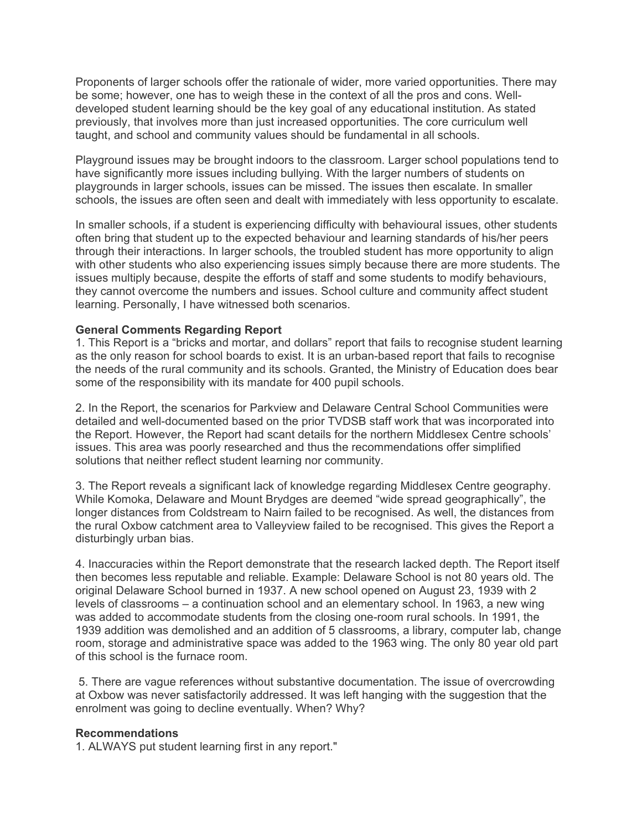Proponents of larger schools offer the rationale of wider, more varied opportunities. There may be some; however, one has to weigh these in the context of all the pros and cons. Welldeveloped student learning should be the key goal of any educational institution. As stated previously, that involves more than just increased opportunities. The core curriculum well taught, and school and community values should be fundamental in all schools.

Playground issues may be brought indoors to the classroom. Larger school populations tend to have significantly more issues including bullying. With the larger numbers of students on playgrounds in larger schools, issues can be missed. The issues then escalate. In smaller schools, the issues are often seen and dealt with immediately with less opportunity to escalate.

In smaller schools, if a student is experiencing difficulty with behavioural issues, other students often bring that student up to the expected behaviour and learning standards of his/her peers through their interactions. In larger schools, the troubled student has more opportunity to align with other students who also experiencing issues simply because there are more students. The issues multiply because, despite the efforts of staff and some students to modify behaviours, they cannot overcome the numbers and issues. School culture and community affect student learning. Personally, I have witnessed both scenarios.

### **General Comments Regarding Report**

1. This Report is a "bricks and mortar, and dollars" report that fails to recognise student learning as the only reason for school boards to exist. It is an urban-based report that fails to recognise the needs of the rural community and its schools. Granted, the Ministry of Education does bear some of the responsibility with its mandate for 400 pupil schools.

2. In the Report, the scenarios for Parkview and Delaware Central School Communities were detailed and well-documented based on the prior TVDSB staff work that was incorporated into the Report. However, the Report had scant details for the northern Middlesex Centre schools' issues. This area was poorly researched and thus the recommendations offer simplified solutions that neither reflect student learning nor community.

3. The Report reveals a significant lack of knowledge regarding Middlesex Centre geography. While Komoka, Delaware and Mount Brydges are deemed "wide spread geographically", the longer distances from Coldstream to Nairn failed to be recognised. As well, the distances from the rural Oxbow catchment area to Valleyview failed to be recognised. This gives the Report a disturbingly urban bias.

4. Inaccuracies within the Report demonstrate that the research lacked depth. The Report itself then becomes less reputable and reliable. Example: Delaware School is not 80 years old. The original Delaware School burned in 1937. A new school opened on August 23, 1939 with 2 levels of classrooms – a continuation school and an elementary school. In 1963, a new wing was added to accommodate students from the closing one-room rural schools. In 1991, the 1939 addition was demolished and an addition of 5 classrooms, a library, computer lab, change room, storage and administrative space was added to the 1963 wing. The only 80 year old part of this school is the furnace room.

 5. There are vague references without substantive documentation. The issue of overcrowding at Oxbow was never satisfactorily addressed. It was left hanging with the suggestion that the enrolment was going to decline eventually. When? Why?

### **Recommendations**

1. ALWAYS put student learning first in any report."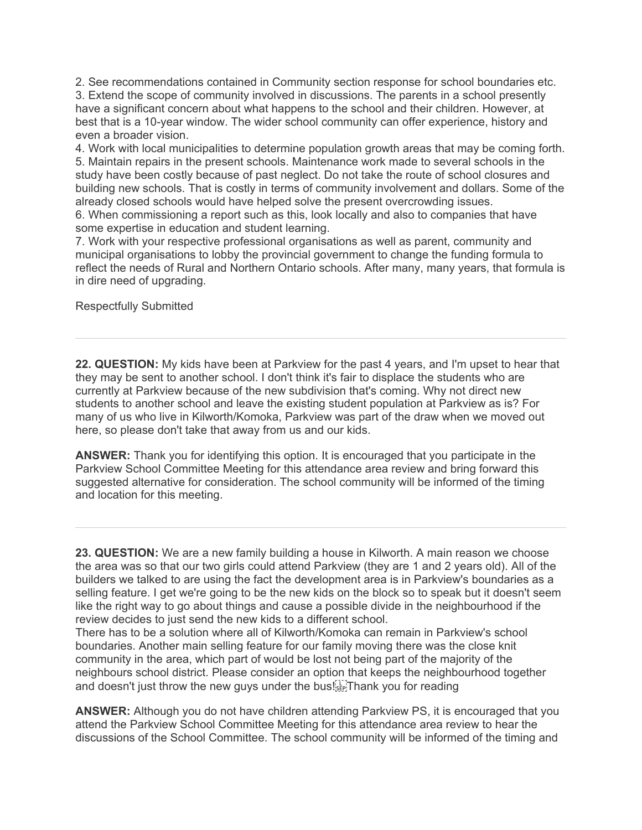2. See recommendations contained in Community section response for school boundaries etc. 3. Extend the scope of community involved in discussions. The parents in a school presently have a significant concern about what happens to the school and their children. However, at best that is a 10-year window. The wider school community can offer experience, history and even a broader vision.

4. Work with local municipalities to determine population growth areas that may be coming forth. 5. Maintain repairs in the present schools. Maintenance work made to several schools in the study have been costly because of past neglect. Do not take the route of school closures and building new schools. That is costly in terms of community involvement and dollars. Some of the already closed schools would have helped solve the present overcrowding issues.

6. When commissioning a report such as this, look locally and also to companies that have some expertise in education and student learning.

7. Work with your respective professional organisations as well as parent, community and municipal organisations to lobby the provincial government to change the funding formula to reflect the needs of Rural and Northern Ontario schools. After many, many years, that formula is in dire need of upgrading.

Respectfully Submitted

**22. QUESTION:** My kids have been at Parkview for the past 4 years, and I'm upset to hear that they may be sent to another school. I don't think it's fair to displace the students who are currently at Parkview because of the new subdivision that's coming. Why not direct new students to another school and leave the existing student population at Parkview as is? For many of us who live in Kilworth/Komoka, Parkview was part of the draw when we moved out here, so please don't take that away from us and our kids.

**ANSWER:** Thank you for identifying this option. It is encouraged that you participate in the Parkview School Committee Meeting for this attendance area review and bring forward this suggested alternative for consideration. The school community will be informed of the timing and location for this meeting.

**23. QUESTION:** We are a new family building a house in Kilworth. A main reason we choose the area was so that our two girls could attend Parkview (they are 1 and 2 years old). All of the builders we talked to are using the fact the development area is in Parkview's boundaries as a selling feature. I get we're going to be the new kids on the block so to speak but it doesn't seem like the right way to go about things and cause a possible divide in the neighbourhood if the review decides to just send the new kids to a different school.

There has to be a solution where all of Kilworth/Komoka can remain in Parkview's school boundaries. Another main selling feature for our family moving there was the close knit community in the area, which part of would be lost not being part of the majority of the neighbours school district. Please consider an option that keeps the neighbourhood together and doesn't just throw the new guys under the bus! $\mathbb{E}[\mathbb{R}]$ Thank you for reading

**ANSWER:** Although you do not have children attending Parkview PS, it is encouraged that you attend the Parkview School Committee Meeting for this attendance area review to hear the discussions of the School Committee. The school community will be informed of the timing and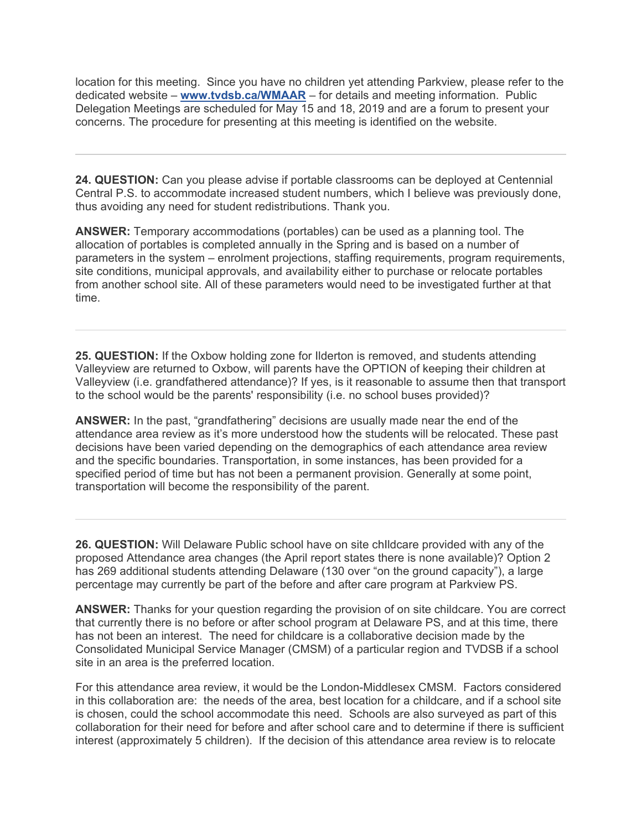location for this meeting. Since you have no children yet attending Parkview, please refer to the dedicated website – **www.tvdsb.ca/WMAAR** – for details and meeting information. Public Delegation Meetings are scheduled for May 15 and 18, 2019 and are a forum to present your concerns. The procedure for presenting at this meeting is identified on the website.

**24. QUESTION:** Can you please advise if portable classrooms can be deployed at Centennial Central P.S. to accommodate increased student numbers, which I believe was previously done, thus avoiding any need for student redistributions. Thank you.

**ANSWER:** Temporary accommodations (portables) can be used as a planning tool. The allocation of portables is completed annually in the Spring and is based on a number of parameters in the system – enrolment projections, staffing requirements, program requirements, site conditions, municipal approvals, and availability either to purchase or relocate portables from another school site. All of these parameters would need to be investigated further at that time.

**25. QUESTION:** If the Oxbow holding zone for Ilderton is removed, and students attending Valleyview are returned to Oxbow, will parents have the OPTION of keeping their children at Valleyview (i.e. grandfathered attendance)? If yes, is it reasonable to assume then that transport to the school would be the parents' responsibility (i.e. no school buses provided)?

**ANSWER:** In the past, "grandfathering" decisions are usually made near the end of the attendance area review as it's more understood how the students will be relocated. These past decisions have been varied depending on the demographics of each attendance area review and the specific boundaries. Transportation, in some instances, has been provided for a specified period of time but has not been a permanent provision. Generally at some point, transportation will become the responsibility of the parent.

**26. QUESTION:** Will Delaware Public school have on site chIldcare provided with any of the proposed Attendance area changes (the April report states there is none available)? Option 2 has 269 additional students attending Delaware (130 over "on the ground capacity"), a large percentage may currently be part of the before and after care program at Parkview PS.

**ANSWER:** Thanks for your question regarding the provision of on site childcare. You are correct that currently there is no before or after school program at Delaware PS, and at this time, there has not been an interest. The need for childcare is a collaborative decision made by the Consolidated Municipal Service Manager (CMSM) of a particular region and TVDSB if a school site in an area is the preferred location.

For this attendance area review, it would be the London-Middlesex CMSM. Factors considered in this collaboration are: the needs of the area, best location for a childcare, and if a school site is chosen, could the school accommodate this need. Schools are also surveyed as part of this collaboration for their need for before and after school care and to determine if there is sufficient interest (approximately 5 children). If the decision of this attendance area review is to relocate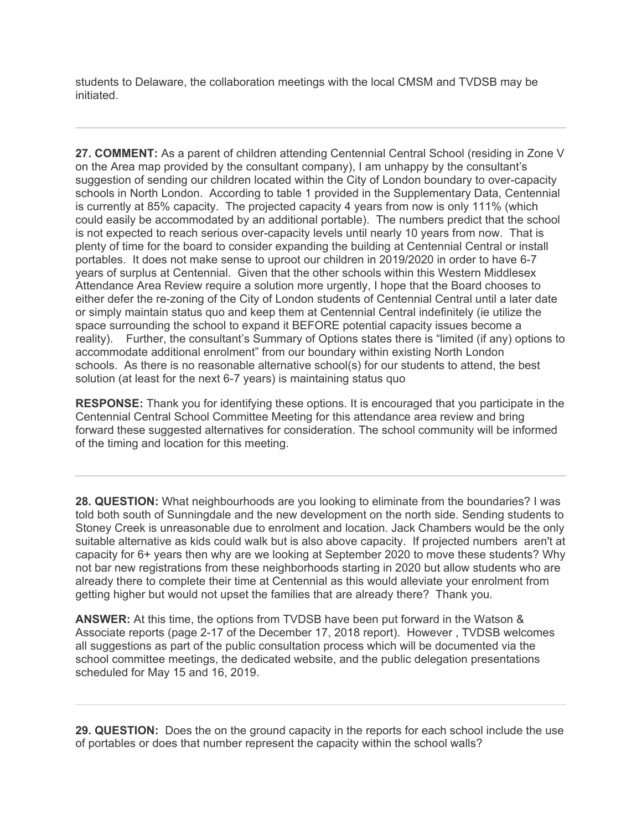students to Delaware, the collaboration meetings with the local CMSM and TVDSB may be initiated.

**27. COMMENT:** As a parent of children attending Centennial Central School (residing in Zone V on the Area map provided by the consultant company), I am unhappy by the consultant's suggestion of sending our children located within the City of London boundary to over-capacity schools in North London. According to table 1 provided in the Supplementary Data, Centennial is currently at 85% capacity. The projected capacity 4 years from now is only 111% (which could easily be accommodated by an additional portable). The numbers predict that the school is not expected to reach serious over-capacity levels until nearly 10 years from now. That is plenty of time for the board to consider expanding the building at Centennial Central or install portables. It does not make sense to uproot our children in 2019/2020 in order to have 6-7 years of surplus at Centennial. Given that the other schools within this Western Middlesex Attendance Area Review require a solution more urgently, I hope that the Board chooses to either defer the re-zoning of the City of London students of Centennial Central until a later date or simply maintain status quo and keep them at Centennial Central indefinitely (ie utilize the space surrounding the school to expand it BEFORE potential capacity issues become a reality). Further, the consultant's Summary of Options states there is "limited (if any) options to accommodate additional enrolment" from our boundary within existing North London schools. As there is no reasonable alternative school(s) for our students to attend, the best solution (at least for the next 6-7 years) is maintaining status quo

**RESPONSE:** Thank you for identifying these options. It is encouraged that you participate in the Centennial Central School Committee Meeting for this attendance area review and bring forward these suggested alternatives for consideration. The school community will be informed of the timing and location for this meeting.

**28. QUESTION:** What neighbourhoods are you looking to eliminate from the boundaries? I was told both south of Sunningdale and the new development on the north side. Sending students to Stoney Creek is unreasonable due to enrolment and location. Jack Chambers would be the only suitable alternative as kids could walk but is also above capacity. If projected numbers aren't at capacity for 6+ years then why are we looking at September 2020 to move these students? Why not bar new registrations from these neighborhoods starting in 2020 but allow students who are already there to complete their time at Centennial as this would alleviate your enrolment from getting higher but would not upset the families that are already there? Thank you.

**ANSWER:** At this time, the options from TVDSB have been put forward in the Watson & Associate reports (page 2-17 of the December 17, 2018 report). However , TVDSB welcomes all suggestions as part of the public consultation process which will be documented via the school committee meetings, the dedicated website, and the public delegation presentations scheduled for May 15 and 16, 2019.

**29. QUESTION:** Does the on the ground capacity in the reports for each school include the use of portables or does that number represent the capacity within the school walls?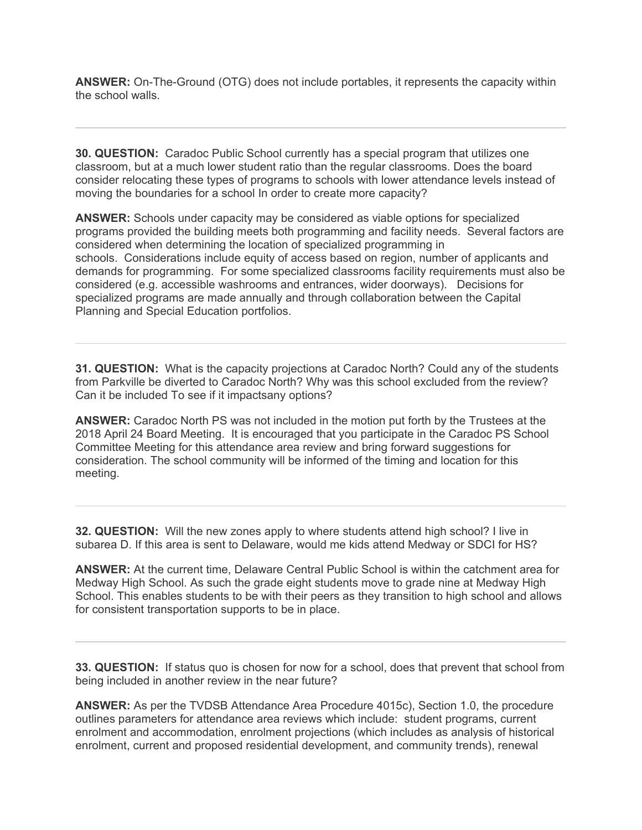**ANSWER:** On-The-Ground (OTG) does not include portables, it represents the capacity within the school walls.

**30. QUESTION:** Caradoc Public School currently has a special program that utilizes one classroom, but at a much lower student ratio than the regular classrooms. Does the board consider relocating these types of programs to schools with lower attendance levels instead of moving the boundaries for a school In order to create more capacity?

**ANSWER:** Schools under capacity may be considered as viable options for specialized programs provided the building meets both programming and facility needs. Several factors are considered when determining the location of specialized programming in schools. Considerations include equity of access based on region, number of applicants and demands for programming. For some specialized classrooms facility requirements must also be considered (e.g. accessible washrooms and entrances, wider doorways). Decisions for specialized programs are made annually and through collaboration between the Capital Planning and Special Education portfolios.

**31. QUESTION:** What is the capacity projections at Caradoc North? Could any of the students from Parkville be diverted to Caradoc North? Why was this school excluded from the review? Can it be included To see if it impactsany options?

**ANSWER:** Caradoc North PS was not included in the motion put forth by the Trustees at the 2018 April 24 Board Meeting. It is encouraged that you participate in the Caradoc PS School Committee Meeting for this attendance area review and bring forward suggestions for consideration. The school community will be informed of the timing and location for this meeting.

**32. QUESTION:** Will the new zones apply to where students attend high school? I live in subarea D. If this area is sent to Delaware, would me kids attend Medway or SDCI for HS?

**ANSWER:** At the current time, Delaware Central Public School is within the catchment area for Medway High School. As such the grade eight students move to grade nine at Medway High School. This enables students to be with their peers as they transition to high school and allows for consistent transportation supports to be in place.

**33. QUESTION:** If status quo is chosen for now for a school, does that prevent that school from being included in another review in the near future?

**ANSWER:** As per the TVDSB Attendance Area Procedure 4015c), Section 1.0, the procedure outlines parameters for attendance area reviews which include: student programs, current enrolment and accommodation, enrolment projections (which includes as analysis of historical enrolment, current and proposed residential development, and community trends), renewal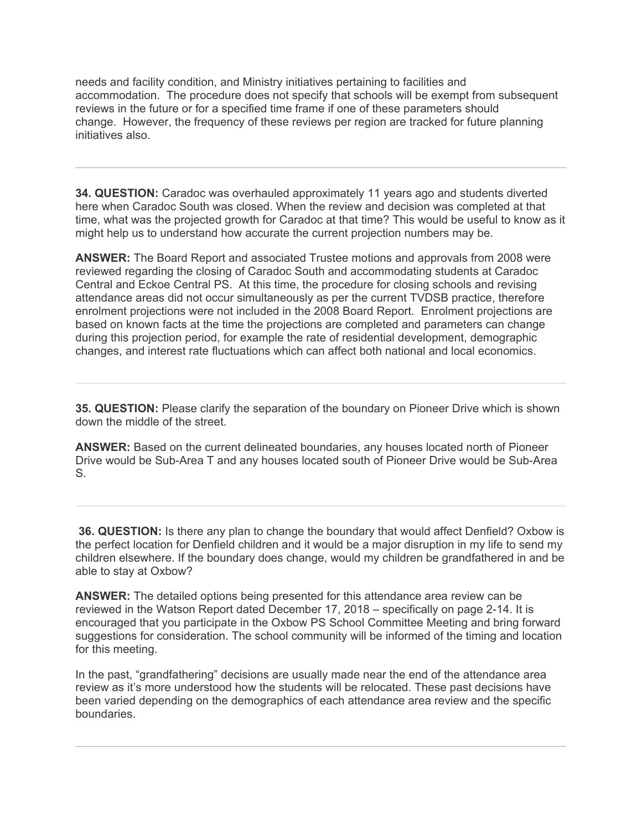needs and facility condition, and Ministry initiatives pertaining to facilities and accommodation. The procedure does not specify that schools will be exempt from subsequent reviews in the future or for a specified time frame if one of these parameters should change. However, the frequency of these reviews per region are tracked for future planning initiatives also.

**34. QUESTION:** Caradoc was overhauled approximately 11 years ago and students diverted here when Caradoc South was closed. When the review and decision was completed at that time, what was the projected growth for Caradoc at that time? This would be useful to know as it might help us to understand how accurate the current projection numbers may be.

**ANSWER:** The Board Report and associated Trustee motions and approvals from 2008 were reviewed regarding the closing of Caradoc South and accommodating students at Caradoc Central and Eckoe Central PS. At this time, the procedure for closing schools and revising attendance areas did not occur simultaneously as per the current TVDSB practice, therefore enrolment projections were not included in the 2008 Board Report. Enrolment projections are based on known facts at the time the projections are completed and parameters can change during this projection period, for example the rate of residential development, demographic changes, and interest rate fluctuations which can affect both national and local economics.

**35. QUESTION:** Please clarify the separation of the boundary on Pioneer Drive which is shown down the middle of the street.

**ANSWER:** Based on the current delineated boundaries, any houses located north of Pioneer Drive would be Sub-Area T and any houses located south of Pioneer Drive would be Sub-Area S.

**36. QUESTION:** Is there any plan to change the boundary that would affect Denfield? Oxbow is the perfect location for Denfield children and it would be a major disruption in my life to send my children elsewhere. If the boundary does change, would my children be grandfathered in and be able to stay at Oxbow?

**ANSWER:** The detailed options being presented for this attendance area review can be reviewed in the Watson Report dated December 17, 2018 – specifically on page 2-14. It is encouraged that you participate in the Oxbow PS School Committee Meeting and bring forward suggestions for consideration. The school community will be informed of the timing and location for this meeting.

In the past, "grandfathering" decisions are usually made near the end of the attendance area review as it's more understood how the students will be relocated. These past decisions have been varied depending on the demographics of each attendance area review and the specific boundaries.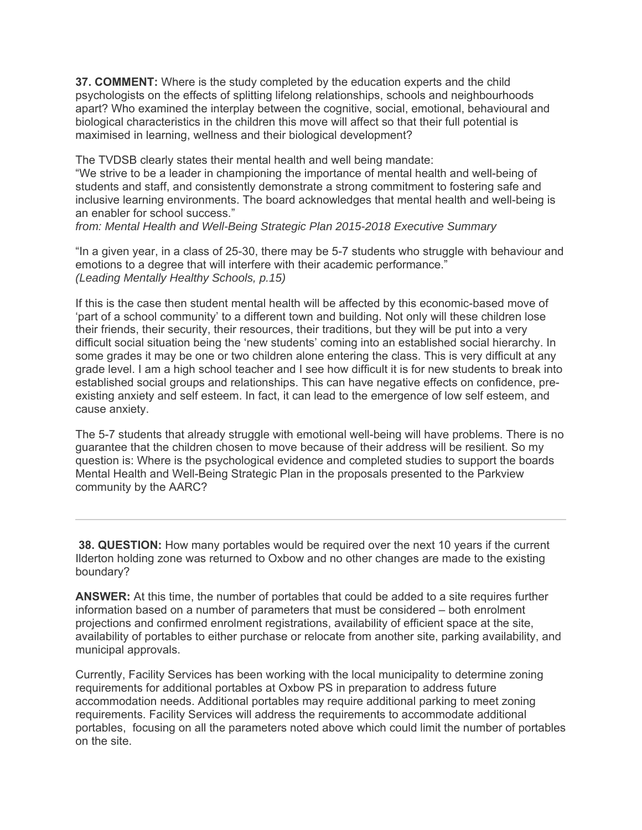**37. COMMENT:** Where is the study completed by the education experts and the child psychologists on the effects of splitting lifelong relationships, schools and neighbourhoods apart? Who examined the interplay between the cognitive, social, emotional, behavioural and biological characteristics in the children this move will affect so that their full potential is maximised in learning, wellness and their biological development?

The TVDSB clearly states their mental health and well being mandate:

"We strive to be a leader in championing the importance of mental health and well-being of students and staff, and consistently demonstrate a strong commitment to fostering safe and inclusive learning environments. The board acknowledges that mental health and well-being is an enabler for school success."

*from: Mental Health and Well-Being Strategic Plan 2015-2018 Executive Summary*

"In a given year, in a class of 25-30, there may be 5-7 students who struggle with behaviour and emotions to a degree that will interfere with their academic performance." *(Leading Mentally Healthy Schools, p.15)*

If this is the case then student mental health will be affected by this economic-based move of 'part of a school community' to a different town and building. Not only will these children lose their friends, their security, their resources, their traditions, but they will be put into a very difficult social situation being the 'new students' coming into an established social hierarchy. In some grades it may be one or two children alone entering the class. This is very difficult at any grade level. I am a high school teacher and I see how difficult it is for new students to break into established social groups and relationships. This can have negative effects on confidence, preexisting anxiety and self esteem. In fact, it can lead to the emergence of low self esteem, and cause anxiety.

The 5-7 students that already struggle with emotional well-being will have problems. There is no guarantee that the children chosen to move because of their address will be resilient. So my question is: Where is the psychological evidence and completed studies to support the boards Mental Health and Well-Being Strategic Plan in the proposals presented to the Parkview community by the AARC?

**38. QUESTION:** How many portables would be required over the next 10 years if the current Ilderton holding zone was returned to Oxbow and no other changes are made to the existing boundary?

**ANSWER:** At this time, the number of portables that could be added to a site requires further information based on a number of parameters that must be considered – both enrolment projections and confirmed enrolment registrations, availability of efficient space at the site, availability of portables to either purchase or relocate from another site, parking availability, and municipal approvals.

Currently, Facility Services has been working with the local municipality to determine zoning requirements for additional portables at Oxbow PS in preparation to address future accommodation needs. Additional portables may require additional parking to meet zoning requirements. Facility Services will address the requirements to accommodate additional portables, focusing on all the parameters noted above which could limit the number of portables on the site.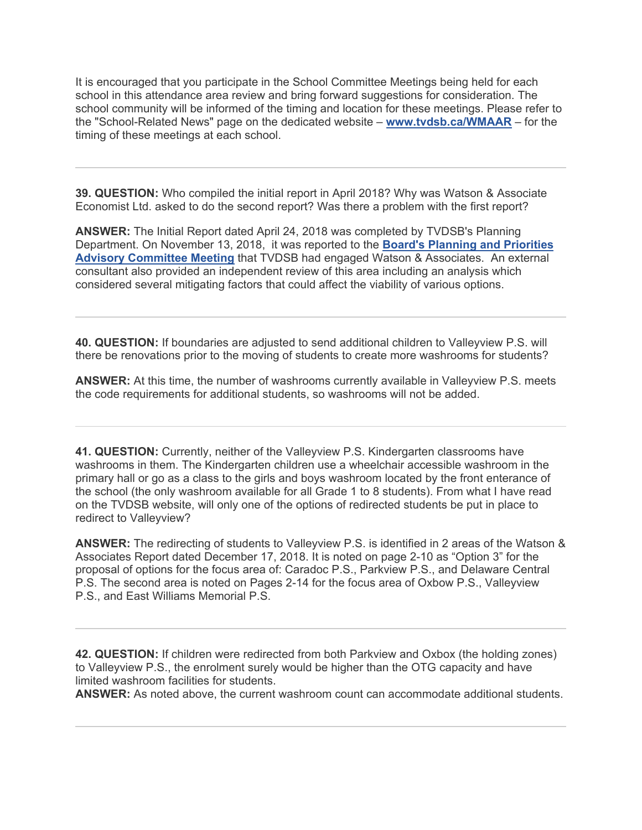It is encouraged that you participate in the School Committee Meetings being held for each school in this attendance area review and bring forward suggestions for consideration. The school community will be informed of the timing and location for these meetings. Please refer to the "School-Related News" page on the dedicated website – **www.tvdsb.ca/WMAAR** – for the timing of these meetings at each school.

**39. QUESTION:** Who compiled the initial report in April 2018? Why was Watson & Associate Economist Ltd. asked to do the second report? Was there a problem with the first report?

**ANSWER:** The Initial Report dated April 24, 2018 was completed by TVDSB's Planning Department. On November 13, 2018, it was reported to the **Board's Planning and Priorities Advisory Committee Meeting** that TVDSB had engaged Watson & Associates. An external consultant also provided an independent review of this area including an analysis which considered several mitigating factors that could affect the viability of various options.

**40. QUESTION:** If boundaries are adjusted to send additional children to Valleyview P.S. will there be renovations prior to the moving of students to create more washrooms for students?

**ANSWER:** At this time, the number of washrooms currently available in Valleyview P.S. meets the code requirements for additional students, so washrooms will not be added.

**41. QUESTION:** Currently, neither of the Valleyview P.S. Kindergarten classrooms have washrooms in them. The Kindergarten children use a wheelchair accessible washroom in the primary hall or go as a class to the girls and boys washroom located by the front enterance of the school (the only washroom available for all Grade 1 to 8 students). From what I have read on the TVDSB website, will only one of the options of redirected students be put in place to redirect to Valleyview?

**ANSWER:** The redirecting of students to Valleyview P.S. is identified in 2 areas of the Watson & Associates Report dated December 17, 2018. It is noted on page 2-10 as "Option 3" for the proposal of options for the focus area of: Caradoc P.S., Parkview P.S., and Delaware Central P.S. The second area is noted on Pages 2-14 for the focus area of Oxbow P.S., Valleyview P.S., and East Williams Memorial P.S.

**42. QUESTION:** If children were redirected from both Parkview and Oxbox (the holding zones) to Valleyview P.S., the enrolment surely would be higher than the OTG capacity and have limited washroom facilities for students.

**ANSWER:** As noted above, the current washroom count can accommodate additional students.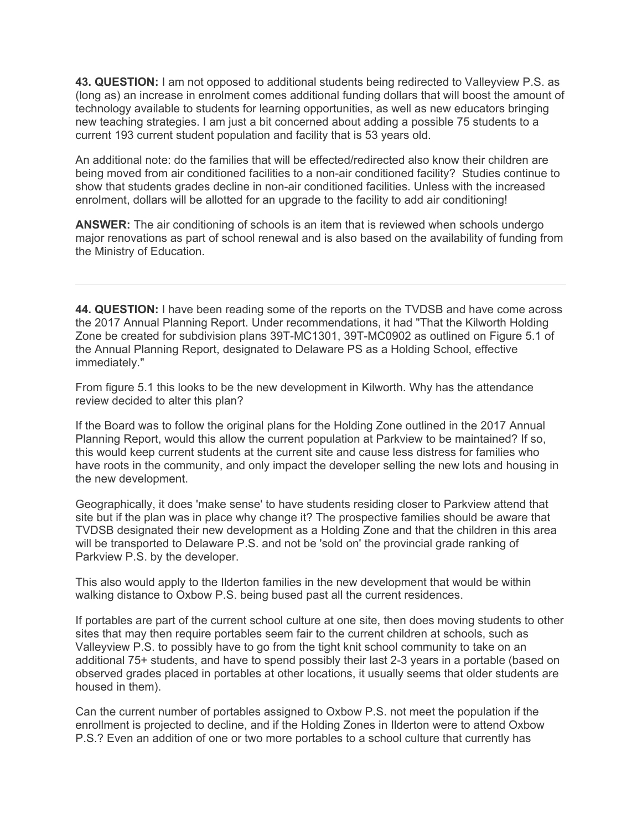**43. QUESTION:** I am not opposed to additional students being redirected to Valleyview P.S. as (long as) an increase in enrolment comes additional funding dollars that will boost the amount of technology available to students for learning opportunities, as well as new educators bringing new teaching strategies. I am just a bit concerned about adding a possible 75 students to a current 193 current student population and facility that is 53 years old.

An additional note: do the families that will be effected/redirected also know their children are being moved from air conditioned facilities to a non-air conditioned facility? Studies continue to show that students grades decline in non-air conditioned facilities. Unless with the increased enrolment, dollars will be allotted for an upgrade to the facility to add air conditioning!

**ANSWER:** The air conditioning of schools is an item that is reviewed when schools undergo major renovations as part of school renewal and is also based on the availability of funding from the Ministry of Education.

**44. QUESTION:** I have been reading some of the reports on the TVDSB and have come across the 2017 Annual Planning Report. Under recommendations, it had "That the Kilworth Holding Zone be created for subdivision plans 39T-MC1301, 39T-MC0902 as outlined on Figure 5.1 of the Annual Planning Report, designated to Delaware PS as a Holding School, effective immediately."

From figure 5.1 this looks to be the new development in Kilworth. Why has the attendance review decided to alter this plan?

If the Board was to follow the original plans for the Holding Zone outlined in the 2017 Annual Planning Report, would this allow the current population at Parkview to be maintained? If so, this would keep current students at the current site and cause less distress for families who have roots in the community, and only impact the developer selling the new lots and housing in the new development.

Geographically, it does 'make sense' to have students residing closer to Parkview attend that site but if the plan was in place why change it? The prospective families should be aware that TVDSB designated their new development as a Holding Zone and that the children in this area will be transported to Delaware P.S. and not be 'sold on' the provincial grade ranking of Parkview P.S. by the developer.

This also would apply to the Ilderton families in the new development that would be within walking distance to Oxbow P.S. being bused past all the current residences.

If portables are part of the current school culture at one site, then does moving students to other sites that may then require portables seem fair to the current children at schools, such as Valleyview P.S. to possibly have to go from the tight knit school community to take on an additional 75+ students, and have to spend possibly their last 2-3 years in a portable (based on observed grades placed in portables at other locations, it usually seems that older students are housed in them).

Can the current number of portables assigned to Oxbow P.S. not meet the population if the enrollment is projected to decline, and if the Holding Zones in Ilderton were to attend Oxbow P.S.? Even an addition of one or two more portables to a school culture that currently has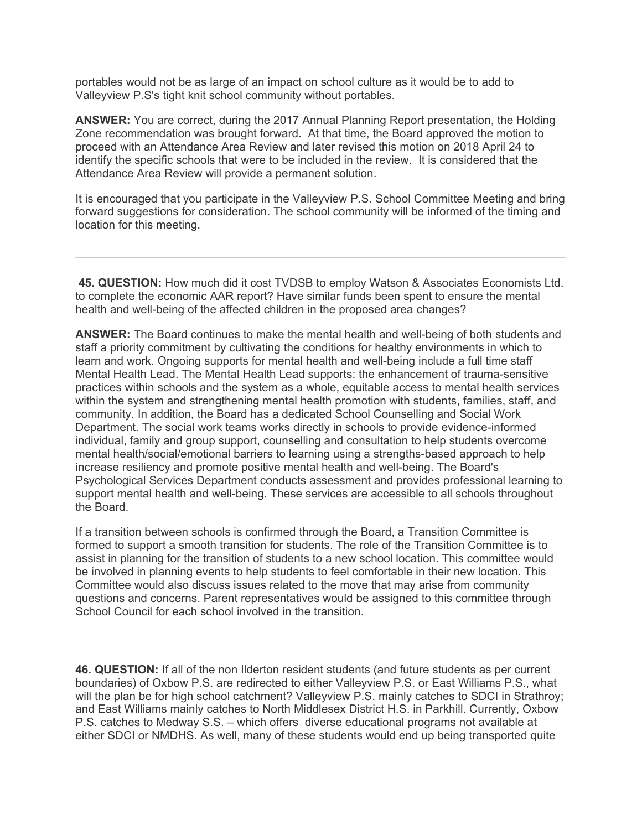portables would not be as large of an impact on school culture as it would be to add to Valleyview P.S's tight knit school community without portables.

**ANSWER:** You are correct, during the 2017 Annual Planning Report presentation, the Holding Zone recommendation was brought forward. At that time, the Board approved the motion to proceed with an Attendance Area Review and later revised this motion on 2018 April 24 to identify the specific schools that were to be included in the review. It is considered that the Attendance Area Review will provide a permanent solution.

It is encouraged that you participate in the Valleyview P.S. School Committee Meeting and bring forward suggestions for consideration. The school community will be informed of the timing and location for this meeting.

**45. QUESTION:** How much did it cost TVDSB to employ Watson & Associates Economists Ltd. to complete the economic AAR report? Have similar funds been spent to ensure the mental health and well-being of the affected children in the proposed area changes?

**ANSWER:** The Board continues to make the mental health and well-being of both students and staff a priority commitment by cultivating the conditions for healthy environments in which to learn and work. Ongoing supports for mental health and well-being include a full time staff Mental Health Lead. The Mental Health Lead supports: the enhancement of trauma-sensitive practices within schools and the system as a whole, equitable access to mental health services within the system and strengthening mental health promotion with students, families, staff, and community. In addition, the Board has a dedicated School Counselling and Social Work Department. The social work teams works directly in schools to provide evidence-informed individual, family and group support, counselling and consultation to help students overcome mental health/social/emotional barriers to learning using a strengths-based approach to help increase resiliency and promote positive mental health and well-being. The Board's Psychological Services Department conducts assessment and provides professional learning to support mental health and well-being. These services are accessible to all schools throughout the Board.

If a transition between schools is confirmed through the Board, a Transition Committee is formed to support a smooth transition for students. The role of the Transition Committee is to assist in planning for the transition of students to a new school location. This committee would be involved in planning events to help students to feel comfortable in their new location. This Committee would also discuss issues related to the move that may arise from community questions and concerns. Parent representatives would be assigned to this committee through School Council for each school involved in the transition.

**46. QUESTION:** If all of the non Ilderton resident students (and future students as per current boundaries) of Oxbow P.S. are redirected to either Valleyview P.S. or East Williams P.S., what will the plan be for high school catchment? Valleyview P.S. mainly catches to SDCI in Strathroy; and East Williams mainly catches to North Middlesex District H.S. in Parkhill. Currently, Oxbow P.S. catches to Medway S.S. – which offers diverse educational programs not available at either SDCI or NMDHS. As well, many of these students would end up being transported quite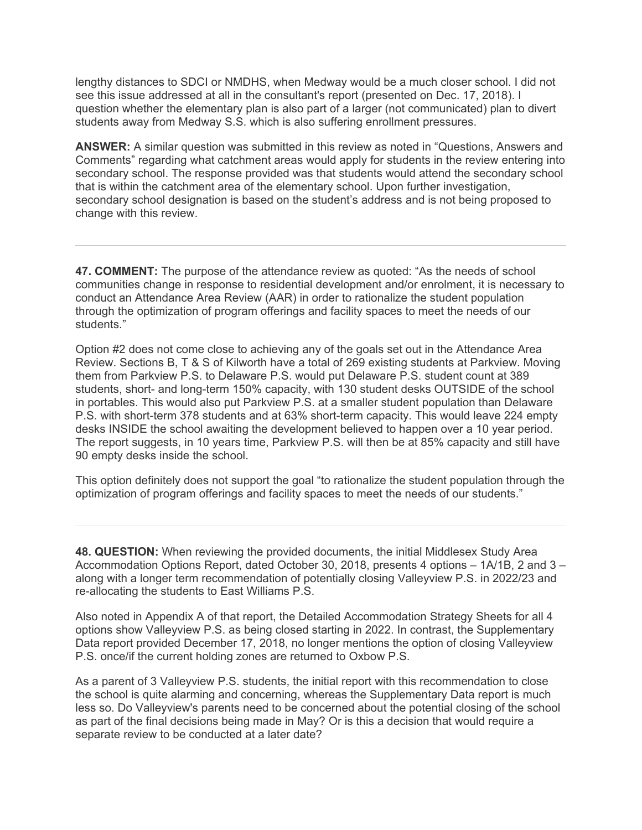lengthy distances to SDCI or NMDHS, when Medway would be a much closer school. I did not see this issue addressed at all in the consultant's report (presented on Dec. 17, 2018). I question whether the elementary plan is also part of a larger (not communicated) plan to divert students away from Medway S.S. which is also suffering enrollment pressures.

**ANSWER:** A similar question was submitted in this review as noted in "Questions, Answers and Comments" regarding what catchment areas would apply for students in the review entering into secondary school. The response provided was that students would attend the secondary school that is within the catchment area of the elementary school. Upon further investigation, secondary school designation is based on the student's address and is not being proposed to change with this review.

**47. COMMENT:** The purpose of the attendance review as quoted: "As the needs of school communities change in response to residential development and/or enrolment, it is necessary to conduct an Attendance Area Review (AAR) in order to rationalize the student population through the optimization of program offerings and facility spaces to meet the needs of our students."

Option #2 does not come close to achieving any of the goals set out in the Attendance Area Review. Sections B, T & S of Kilworth have a total of 269 existing students at Parkview. Moving them from Parkview P.S. to Delaware P.S. would put Delaware P.S. student count at 389 students, short- and long-term 150% capacity, with 130 student desks OUTSIDE of the school in portables. This would also put Parkview P.S. at a smaller student population than Delaware P.S. with short-term 378 students and at 63% short-term capacity. This would leave 224 empty desks INSIDE the school awaiting the development believed to happen over a 10 year period. The report suggests, in 10 years time, Parkview P.S. will then be at 85% capacity and still have 90 empty desks inside the school.

This option definitely does not support the goal "to rationalize the student population through the optimization of program offerings and facility spaces to meet the needs of our students."

**48. QUESTION:** When reviewing the provided documents, the initial Middlesex Study Area Accommodation Options Report, dated October 30, 2018, presents 4 options – 1A/1B, 2 and 3 – along with a longer term recommendation of potentially closing Valleyview P.S. in 2022/23 and re-allocating the students to East Williams P.S.

Also noted in Appendix A of that report, the Detailed Accommodation Strategy Sheets for all 4 options show Valleyview P.S. as being closed starting in 2022. In contrast, the Supplementary Data report provided December 17, 2018, no longer mentions the option of closing Valleyview P.S. once/if the current holding zones are returned to Oxbow P.S.

As a parent of 3 Valleyview P.S. students, the initial report with this recommendation to close the school is quite alarming and concerning, whereas the Supplementary Data report is much less so. Do Valleyview's parents need to be concerned about the potential closing of the school as part of the final decisions being made in May? Or is this a decision that would require a separate review to be conducted at a later date?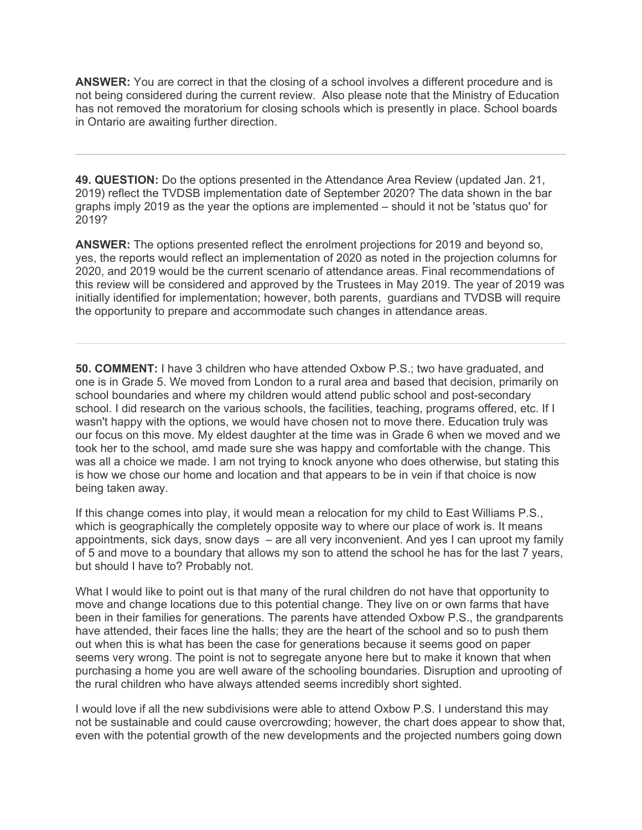**ANSWER:** You are correct in that the closing of a school involves a different procedure and is not being considered during the current review. Also please note that the Ministry of Education has not removed the moratorium for closing schools which is presently in place. School boards in Ontario are awaiting further direction.

**49. QUESTION:** Do the options presented in the Attendance Area Review (updated Jan. 21, 2019) reflect the TVDSB implementation date of September 2020? The data shown in the bar graphs imply 2019 as the year the options are implemented – should it not be 'status quo' for 2019?

**ANSWER:** The options presented reflect the enrolment projections for 2019 and beyond so, yes, the reports would reflect an implementation of 2020 as noted in the projection columns for 2020, and 2019 would be the current scenario of attendance areas. Final recommendations of this review will be considered and approved by the Trustees in May 2019. The year of 2019 was initially identified for implementation; however, both parents, guardians and TVDSB will require the opportunity to prepare and accommodate such changes in attendance areas.

**50. COMMENT:** I have 3 children who have attended Oxbow P.S.; two have graduated, and one is in Grade 5. We moved from London to a rural area and based that decision, primarily on school boundaries and where my children would attend public school and post-secondary school. I did research on the various schools, the facilities, teaching, programs offered, etc. If I wasn't happy with the options, we would have chosen not to move there. Education truly was our focus on this move. My eldest daughter at the time was in Grade 6 when we moved and we took her to the school, amd made sure she was happy and comfortable with the change. This was all a choice we made. I am not trying to knock anyone who does otherwise, but stating this is how we chose our home and location and that appears to be in vein if that choice is now being taken away.

If this change comes into play, it would mean a relocation for my child to East Williams P.S., which is geographically the completely opposite way to where our place of work is. It means appointments, sick days, snow days – are all very inconvenient. And yes I can uproot my family of 5 and move to a boundary that allows my son to attend the school he has for the last 7 years, but should I have to? Probably not.

What I would like to point out is that many of the rural children do not have that opportunity to move and change locations due to this potential change. They live on or own farms that have been in their families for generations. The parents have attended Oxbow P.S., the grandparents have attended, their faces line the halls; they are the heart of the school and so to push them out when this is what has been the case for generations because it seems good on paper seems very wrong. The point is not to segregate anyone here but to make it known that when purchasing a home you are well aware of the schooling boundaries. Disruption and uprooting of the rural children who have always attended seems incredibly short sighted.

I would love if all the new subdivisions were able to attend Oxbow P.S. I understand this may not be sustainable and could cause overcrowding; however, the chart does appear to show that, even with the potential growth of the new developments and the projected numbers going down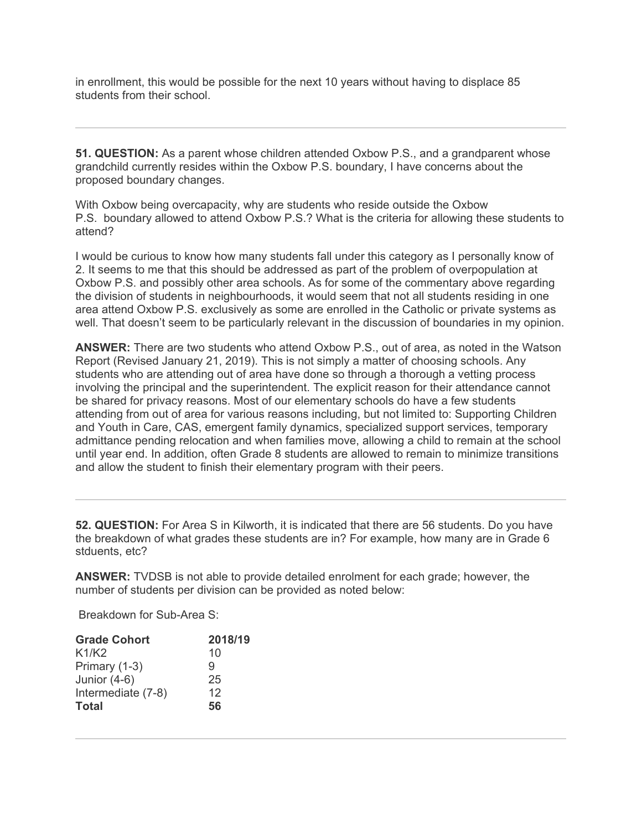in enrollment, this would be possible for the next 10 years without having to displace 85 students from their school.

**51. QUESTION:** As a parent whose children attended Oxbow P.S., and a grandparent whose grandchild currently resides within the Oxbow P.S. boundary, I have concerns about the proposed boundary changes.

With Oxbow being overcapacity, why are students who reside outside the Oxbow P.S. boundary allowed to attend Oxbow P.S.? What is the criteria for allowing these students to attend?

I would be curious to know how many students fall under this category as I personally know of 2. It seems to me that this should be addressed as part of the problem of overpopulation at Oxbow P.S. and possibly other area schools. As for some of the commentary above regarding the division of students in neighbourhoods, it would seem that not all students residing in one area attend Oxbow P.S. exclusively as some are enrolled in the Catholic or private systems as well. That doesn't seem to be particularly relevant in the discussion of boundaries in my opinion.

**ANSWER:** There are two students who attend Oxbow P.S., out of area, as noted in the Watson Report (Revised January 21, 2019). This is not simply a matter of choosing schools. Any students who are attending out of area have done so through a thorough a vetting process involving the principal and the superintendent. The explicit reason for their attendance cannot be shared for privacy reasons. Most of our elementary schools do have a few students attending from out of area for various reasons including, but not limited to: Supporting Children and Youth in Care, CAS, emergent family dynamics, specialized support services, temporary admittance pending relocation and when families move, allowing a child to remain at the school until year end. In addition, often Grade 8 students are allowed to remain to minimize transitions and allow the student to finish their elementary program with their peers.

**52. QUESTION:** For Area S in Kilworth, it is indicated that there are 56 students. Do you have the breakdown of what grades these students are in? For example, how many are in Grade 6 stduents, etc?

**ANSWER:** TVDSB is not able to provide detailed enrolment for each grade; however, the number of students per division can be provided as noted below:

Breakdown for Sub-Area S:

| <b>Grade Cohort</b> | 2018/19 |  |
|---------------------|---------|--|
| K1/K2               | 10      |  |
| Primary (1-3)       | 9       |  |
| Junior $(4-6)$      | 25      |  |
| Intermediate (7-8)  | 12      |  |
| <b>Total</b>        | 56      |  |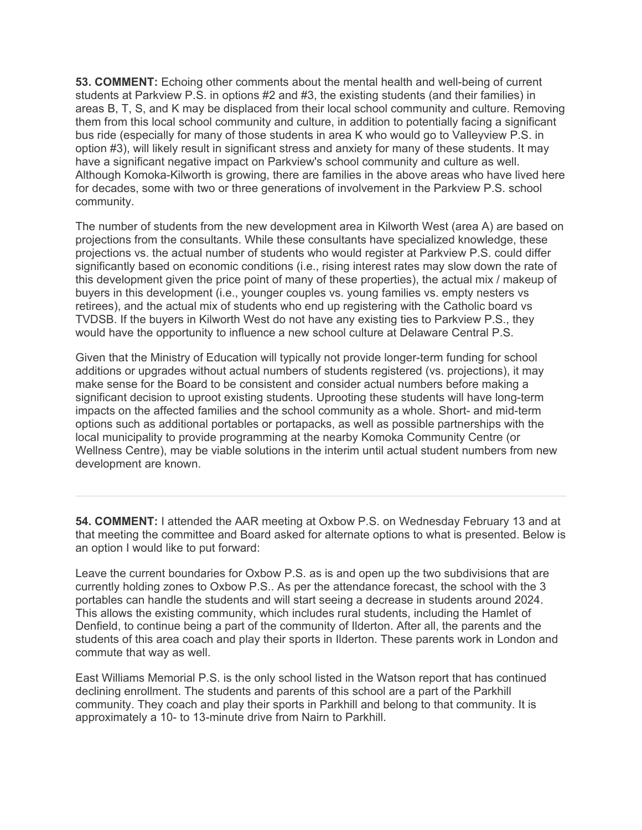**53. COMMENT:** Echoing other comments about the mental health and well-being of current students at Parkview P.S. in options #2 and #3, the existing students (and their families) in areas B, T, S, and K may be displaced from their local school community and culture. Removing them from this local school community and culture, in addition to potentially facing a significant bus ride (especially for many of those students in area K who would go to Valleyview P.S. in option #3), will likely result in significant stress and anxiety for many of these students. It may have a significant negative impact on Parkview's school community and culture as well. Although Komoka-Kilworth is growing, there are families in the above areas who have lived here for decades, some with two or three generations of involvement in the Parkview P.S. school community.

The number of students from the new development area in Kilworth West (area A) are based on projections from the consultants. While these consultants have specialized knowledge, these projections vs. the actual number of students who would register at Parkview P.S. could differ significantly based on economic conditions (i.e., rising interest rates may slow down the rate of this development given the price point of many of these properties), the actual mix / makeup of buyers in this development (i.e., younger couples vs. young families vs. empty nesters vs retirees), and the actual mix of students who end up registering with the Catholic board vs TVDSB. If the buyers in Kilworth West do not have any existing ties to Parkview P.S., they would have the opportunity to influence a new school culture at Delaware Central P.S.

Given that the Ministry of Education will typically not provide longer-term funding for school additions or upgrades without actual numbers of students registered (vs. projections), it may make sense for the Board to be consistent and consider actual numbers before making a significant decision to uproot existing students. Uprooting these students will have long-term impacts on the affected families and the school community as a whole. Short- and mid-term options such as additional portables or portapacks, as well as possible partnerships with the local municipality to provide programming at the nearby Komoka Community Centre (or Wellness Centre), may be viable solutions in the interim until actual student numbers from new development are known.

**54. COMMENT:** I attended the AAR meeting at Oxbow P.S. on Wednesday February 13 and at that meeting the committee and Board asked for alternate options to what is presented. Below is an option I would like to put forward:

Leave the current boundaries for Oxbow P.S. as is and open up the two subdivisions that are currently holding zones to Oxbow P.S.. As per the attendance forecast, the school with the 3 portables can handle the students and will start seeing a decrease in students around 2024. This allows the existing community, which includes rural students, including the Hamlet of Denfield, to continue being a part of the community of Ilderton. After all, the parents and the students of this area coach and play their sports in Ilderton. These parents work in London and commute that way as well.

East Williams Memorial P.S. is the only school listed in the Watson report that has continued declining enrollment. The students and parents of this school are a part of the Parkhill community. They coach and play their sports in Parkhill and belong to that community. It is approximately a 10- to 13-minute drive from Nairn to Parkhill.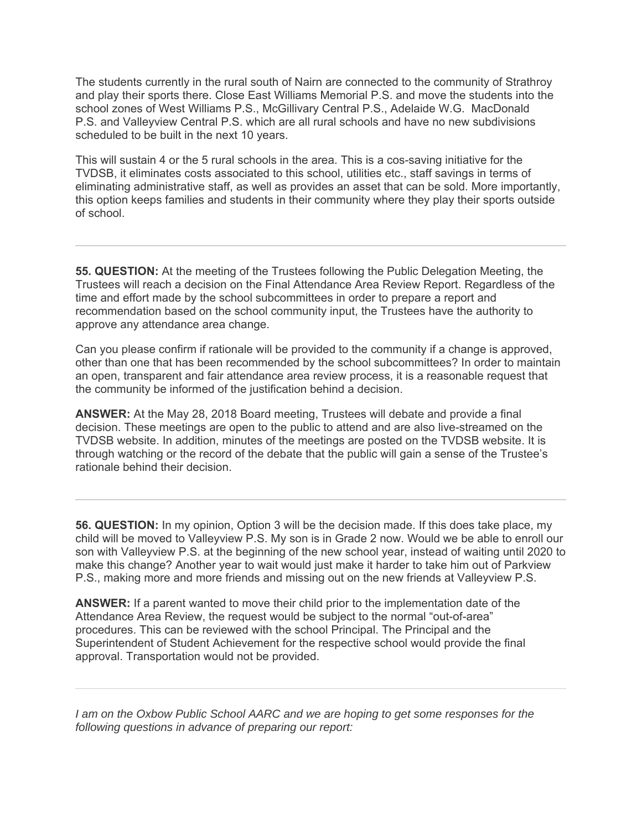The students currently in the rural south of Nairn are connected to the community of Strathroy and play their sports there. Close East Williams Memorial P.S. and move the students into the school zones of West Williams P.S., McGillivary Central P.S., Adelaide W.G. MacDonald P.S. and Valleyview Central P.S. which are all rural schools and have no new subdivisions scheduled to be built in the next 10 years.

This will sustain 4 or the 5 rural schools in the area. This is a cos-saving initiative for the TVDSB, it eliminates costs associated to this school, utilities etc., staff savings in terms of eliminating administrative staff, as well as provides an asset that can be sold. More importantly, this option keeps families and students in their community where they play their sports outside of school.

**55. QUESTION:** At the meeting of the Trustees following the Public Delegation Meeting, the Trustees will reach a decision on the Final Attendance Area Review Report. Regardless of the time and effort made by the school subcommittees in order to prepare a report and recommendation based on the school community input, the Trustees have the authority to approve any attendance area change.

Can you please confirm if rationale will be provided to the community if a change is approved, other than one that has been recommended by the school subcommittees? In order to maintain an open, transparent and fair attendance area review process, it is a reasonable request that the community be informed of the justification behind a decision.

**ANSWER:** At the May 28, 2018 Board meeting, Trustees will debate and provide a final decision. These meetings are open to the public to attend and are also live-streamed on the TVDSB website. In addition, minutes of the meetings are posted on the TVDSB website. It is through watching or the record of the debate that the public will gain a sense of the Trustee's rationale behind their decision.

**56. QUESTION:** In my opinion, Option 3 will be the decision made. If this does take place, my child will be moved to Valleyview P.S. My son is in Grade 2 now. Would we be able to enroll our son with Valleyview P.S. at the beginning of the new school year, instead of waiting until 2020 to make this change? Another year to wait would just make it harder to take him out of Parkview P.S., making more and more friends and missing out on the new friends at Valleyview P.S.

**ANSWER:** If a parent wanted to move their child prior to the implementation date of the Attendance Area Review, the request would be subject to the normal "out-of-area" procedures. This can be reviewed with the school Principal. The Principal and the Superintendent of Student Achievement for the respective school would provide the final approval. Transportation would not be provided.

*I am on the Oxbow Public School AARC and we are hoping to get some responses for the following questions in advance of preparing our report:*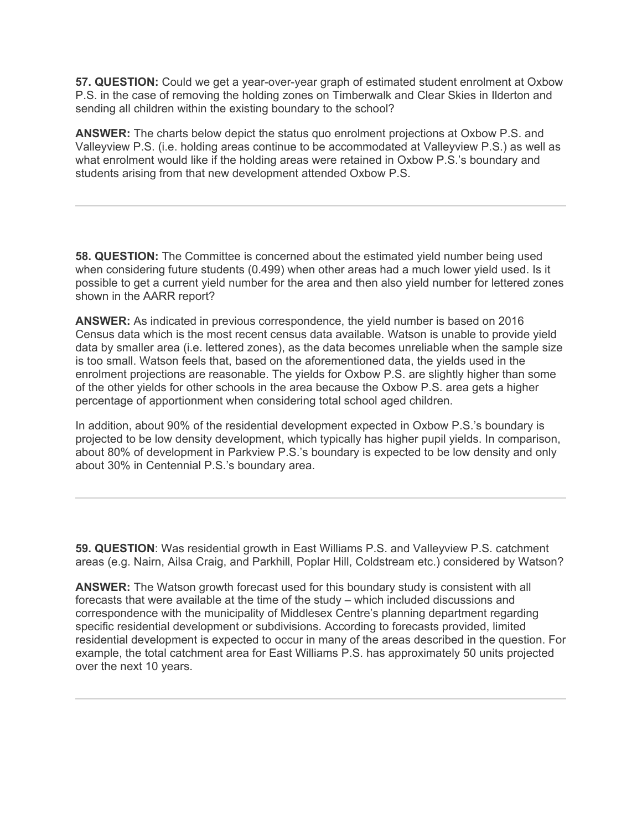**57. QUESTION:** Could we get a year-over-year graph of estimated student enrolment at Oxbow P.S. in the case of removing the holding zones on Timberwalk and Clear Skies in Ilderton and sending all children within the existing boundary to the school?

**ANSWER:** The charts below depict the status quo enrolment projections at Oxbow P.S. and Valleyview P.S. (i.e. holding areas continue to be accommodated at Valleyview P.S.) as well as what enrolment would like if the holding areas were retained in Oxbow P.S.'s boundary and students arising from that new development attended Oxbow P.S.

**58. QUESTION:** The Committee is concerned about the estimated yield number being used when considering future students (0.499) when other areas had a much lower yield used. Is it possible to get a current yield number for the area and then also yield number for lettered zones shown in the AARR report?

**ANSWER:** As indicated in previous correspondence, the yield number is based on 2016 Census data which is the most recent census data available. Watson is unable to provide yield data by smaller area (i.e. lettered zones), as the data becomes unreliable when the sample size is too small. Watson feels that, based on the aforementioned data, the yields used in the enrolment projections are reasonable. The yields for Oxbow P.S. are slightly higher than some of the other yields for other schools in the area because the Oxbow P.S. area gets a higher percentage of apportionment when considering total school aged children.

In addition, about 90% of the residential development expected in Oxbow P.S.'s boundary is projected to be low density development, which typically has higher pupil yields. In comparison, about 80% of development in Parkview P.S.'s boundary is expected to be low density and only about 30% in Centennial P.S.'s boundary area.

**59. QUESTION**: Was residential growth in East Williams P.S. and Valleyview P.S. catchment areas (e.g. Nairn, Ailsa Craig, and Parkhill, Poplar Hill, Coldstream etc.) considered by Watson?

**ANSWER:** The Watson growth forecast used for this boundary study is consistent with all forecasts that were available at the time of the study – which included discussions and correspondence with the municipality of Middlesex Centre's planning department regarding specific residential development or subdivisions. According to forecasts provided, limited residential development is expected to occur in many of the areas described in the question. For example, the total catchment area for East Williams P.S. has approximately 50 units projected over the next 10 years.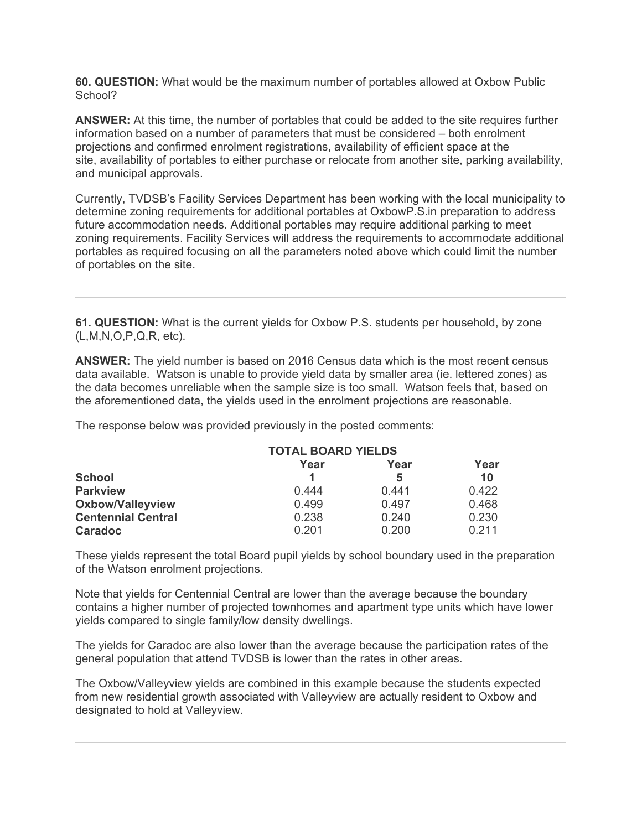**60. QUESTION:** What would be the maximum number of portables allowed at Oxbow Public School?

**ANSWER:** At this time, the number of portables that could be added to the site requires further information based on a number of parameters that must be considered – both enrolment projections and confirmed enrolment registrations, availability of efficient space at the site, availability of portables to either purchase or relocate from another site, parking availability, and municipal approvals.

Currently, TVDSB's Facility Services Department has been working with the local municipality to determine zoning requirements for additional portables at OxbowP.S.in preparation to address future accommodation needs. Additional portables may require additional parking to meet zoning requirements. Facility Services will address the requirements to accommodate additional portables as required focusing on all the parameters noted above which could limit the number of portables on the site.

**61. QUESTION:** What is the current yields for Oxbow P.S. students per household, by zone (L,M,N,O,P,Q,R, etc).

**ANSWER:** The yield number is based on 2016 Census data which is the most recent census data available. Watson is unable to provide yield data by smaller area (ie. lettered zones) as the data becomes unreliable when the sample size is too small. Watson feels that, based on the aforementioned data, the yields used in the enrolment projections are reasonable.

 **TOTAL BOARD YIELDS Year Year Year School 1 5 10 Parkview** 0.444 0.441 0.422 **Oxbow/Valleyview** 0.499 0.497 0.468 **Centennial Central** 0.238 0.240 0.230 **Caradoc** 0.201 0.200 0.211

The response below was provided previously in the posted comments:

These yields represent the total Board pupil yields by school boundary used in the preparation of the Watson enrolment projections.

Note that yields for Centennial Central are lower than the average because the boundary contains a higher number of projected townhomes and apartment type units which have lower yields compared to single family/low density dwellings.

The yields for Caradoc are also lower than the average because the participation rates of the general population that attend TVDSB is lower than the rates in other areas.

The Oxbow/Valleyview yields are combined in this example because the students expected from new residential growth associated with Valleyview are actually resident to Oxbow and designated to hold at Valleyview.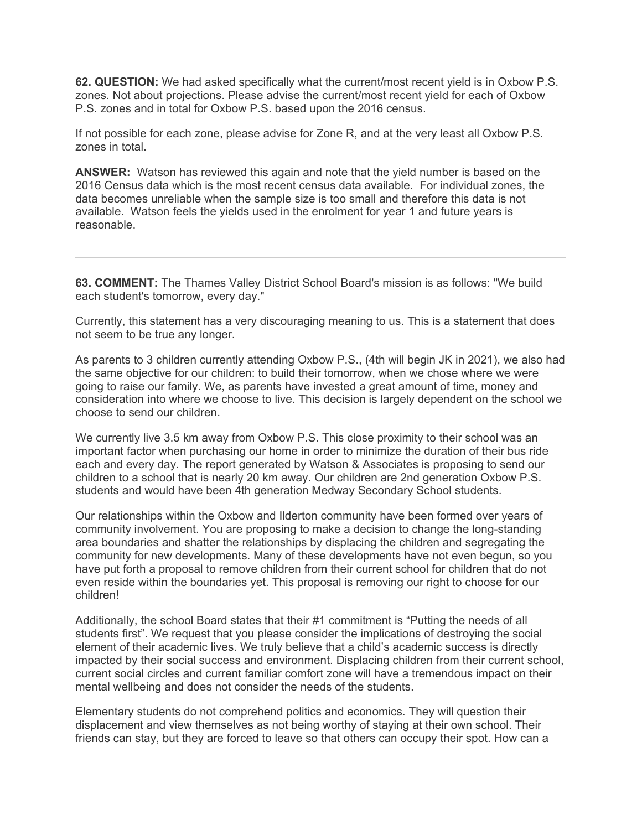**62. QUESTION:** We had asked specifically what the current/most recent yield is in Oxbow P.S. zones. Not about projections. Please advise the current/most recent yield for each of Oxbow P.S. zones and in total for Oxbow P.S. based upon the 2016 census.

If not possible for each zone, please advise for Zone R, and at the very least all Oxbow P.S. zones in total.

**ANSWER:** Watson has reviewed this again and note that the yield number is based on the 2016 Census data which is the most recent census data available. For individual zones, the data becomes unreliable when the sample size is too small and therefore this data is not available. Watson feels the yields used in the enrolment for year 1 and future years is reasonable.

**63. COMMENT:** The Thames Valley District School Board's mission is as follows: "We build each student's tomorrow, every day."

Currently, this statement has a very discouraging meaning to us. This is a statement that does not seem to be true any longer.

As parents to 3 children currently attending Oxbow P.S., (4th will begin JK in 2021), we also had the same objective for our children: to build their tomorrow, when we chose where we were going to raise our family. We, as parents have invested a great amount of time, money and consideration into where we choose to live. This decision is largely dependent on the school we choose to send our children.

We currently live 3.5 km away from Oxbow P.S. This close proximity to their school was an important factor when purchasing our home in order to minimize the duration of their bus ride each and every day. The report generated by Watson & Associates is proposing to send our children to a school that is nearly 20 km away. Our children are 2nd generation Oxbow P.S. students and would have been 4th generation Medway Secondary School students.

Our relationships within the Oxbow and Ilderton community have been formed over years of community involvement. You are proposing to make a decision to change the long-standing area boundaries and shatter the relationships by displacing the children and segregating the community for new developments. Many of these developments have not even begun, so you have put forth a proposal to remove children from their current school for children that do not even reside within the boundaries yet. This proposal is removing our right to choose for our children!

Additionally, the school Board states that their #1 commitment is "Putting the needs of all students first". We request that you please consider the implications of destroying the social element of their academic lives. We truly believe that a child's academic success is directly impacted by their social success and environment. Displacing children from their current school, current social circles and current familiar comfort zone will have a tremendous impact on their mental wellbeing and does not consider the needs of the students.

Elementary students do not comprehend politics and economics. They will question their displacement and view themselves as not being worthy of staying at their own school. Their friends can stay, but they are forced to leave so that others can occupy their spot. How can a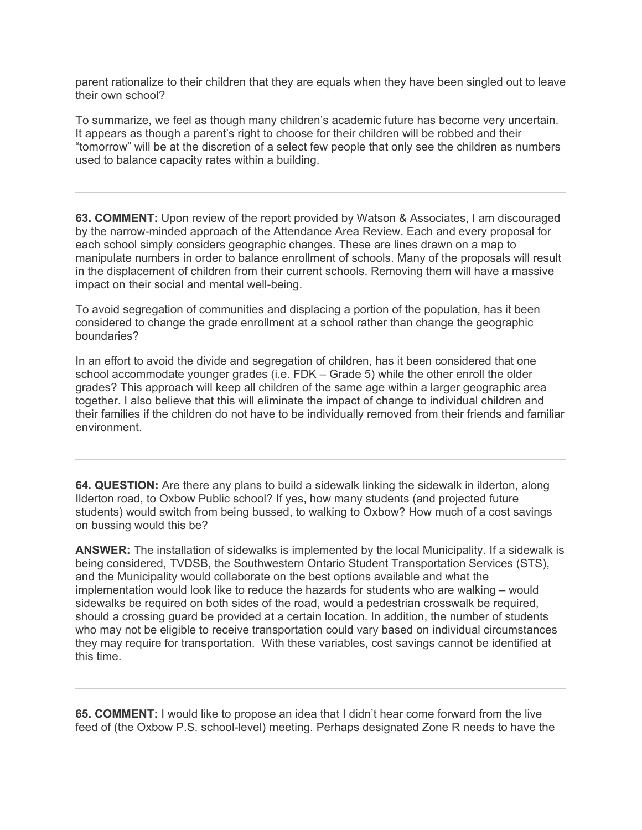parent rationalize to their children that they are equals when they have been singled out to leave their own school?

To summarize, we feel as though many children's academic future has become very uncertain. It appears as though a parent's right to choose for their children will be robbed and their "tomorrow" will be at the discretion of a select few people that only see the children as numbers used to balance capacity rates within a building.

**63. COMMENT:** Upon review of the report provided by Watson & Associates, I am discouraged by the narrow-minded approach of the Attendance Area Review. Each and every proposal for each school simply considers geographic changes. These are lines drawn on a map to manipulate numbers in order to balance enrollment of schools. Many of the proposals will result in the displacement of children from their current schools. Removing them will have a massive impact on their social and mental well-being.

To avoid segregation of communities and displacing a portion of the population, has it been considered to change the grade enrollment at a school rather than change the geographic boundaries?

In an effort to avoid the divide and segregation of children, has it been considered that one school accommodate younger grades (i.e. FDK – Grade 5) while the other enroll the older grades? This approach will keep all children of the same age within a larger geographic area together. I also believe that this will eliminate the impact of change to individual children and their families if the children do not have to be individually removed from their friends and familiar environment.

**64. QUESTION:** Are there any plans to build a sidewalk linking the sidewalk in ilderton, along Ilderton road, to Oxbow Public school? If yes, how many students (and projected future students) would switch from being bussed, to walking to Oxbow? How much of a cost savings on bussing would this be?

**ANSWER:** The installation of sidewalks is implemented by the local Municipality. If a sidewalk is being considered, TVDSB, the Southwestern Ontario Student Transportation Services (STS), and the Municipality would collaborate on the best options available and what the implementation would look like to reduce the hazards for students who are walking – would sidewalks be required on both sides of the road, would a pedestrian crosswalk be required, should a crossing guard be provided at a certain location. In addition, the number of students who may not be eligible to receive transportation could vary based on individual circumstances they may require for transportation. With these variables, cost savings cannot be identified at this time.

**65. COMMENT:** I would like to propose an idea that I didn't hear come forward from the live feed of (the Oxbow P.S. school-level) meeting. Perhaps designated Zone R needs to have the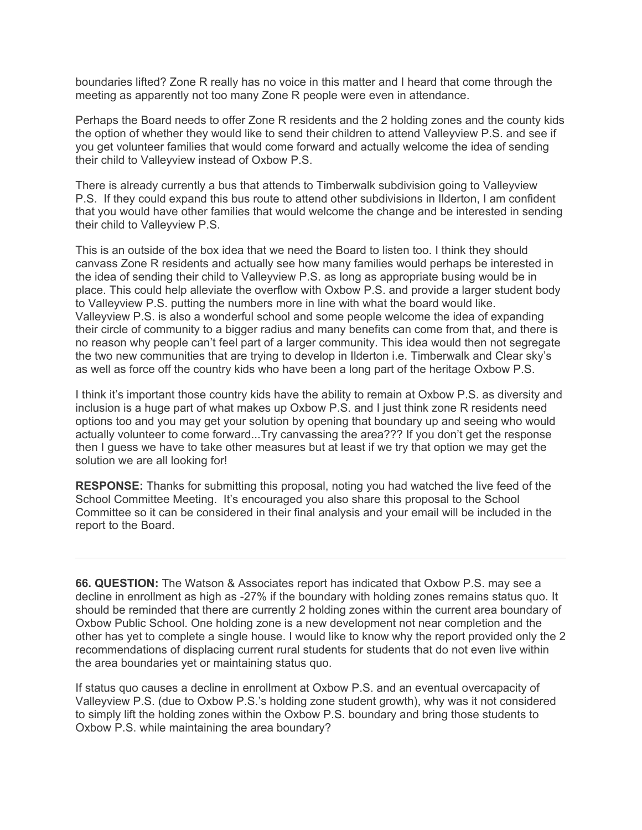boundaries lifted? Zone R really has no voice in this matter and I heard that come through the meeting as apparently not too many Zone R people were even in attendance.

Perhaps the Board needs to offer Zone R residents and the 2 holding zones and the county kids the option of whether they would like to send their children to attend Valleyview P.S. and see if you get volunteer families that would come forward and actually welcome the idea of sending their child to Valleyview instead of Oxbow P.S.

There is already currently a bus that attends to Timberwalk subdivision going to Valleyview P.S. If they could expand this bus route to attend other subdivisions in Ilderton, I am confident that you would have other families that would welcome the change and be interested in sending their child to Valleyview P.S.

This is an outside of the box idea that we need the Board to listen too. I think they should canvass Zone R residents and actually see how many families would perhaps be interested in the idea of sending their child to Valleyview P.S. as long as appropriate busing would be in place. This could help alleviate the overflow with Oxbow P.S. and provide a larger student body to Valleyview P.S. putting the numbers more in line with what the board would like. Valleyview P.S. is also a wonderful school and some people welcome the idea of expanding their circle of community to a bigger radius and many benefits can come from that, and there is no reason why people can't feel part of a larger community. This idea would then not segregate the two new communities that are trying to develop in Ilderton i.e. Timberwalk and Clear sky's as well as force off the country kids who have been a long part of the heritage Oxbow P.S.

I think it's important those country kids have the ability to remain at Oxbow P.S. as diversity and inclusion is a huge part of what makes up Oxbow P.S. and I just think zone R residents need options too and you may get your solution by opening that boundary up and seeing who would actually volunteer to come forward...Try canvassing the area??? If you don't get the response then I guess we have to take other measures but at least if we try that option we may get the solution we are all looking for!

**RESPONSE:** Thanks for submitting this proposal, noting you had watched the live feed of the School Committee Meeting. It's encouraged you also share this proposal to the School Committee so it can be considered in their final analysis and your email will be included in the report to the Board.

**66. QUESTION:** The Watson & Associates report has indicated that Oxbow P.S. may see a decline in enrollment as high as -27% if the boundary with holding zones remains status quo. It should be reminded that there are currently 2 holding zones within the current area boundary of Oxbow Public School. One holding zone is a new development not near completion and the other has yet to complete a single house. I would like to know why the report provided only the 2 recommendations of displacing current rural students for students that do not even live within the area boundaries yet or maintaining status quo.

If status quo causes a decline in enrollment at Oxbow P.S. and an eventual overcapacity of Valleyview P.S. (due to Oxbow P.S.'s holding zone student growth), why was it not considered to simply lift the holding zones within the Oxbow P.S. boundary and bring those students to Oxbow P.S. while maintaining the area boundary?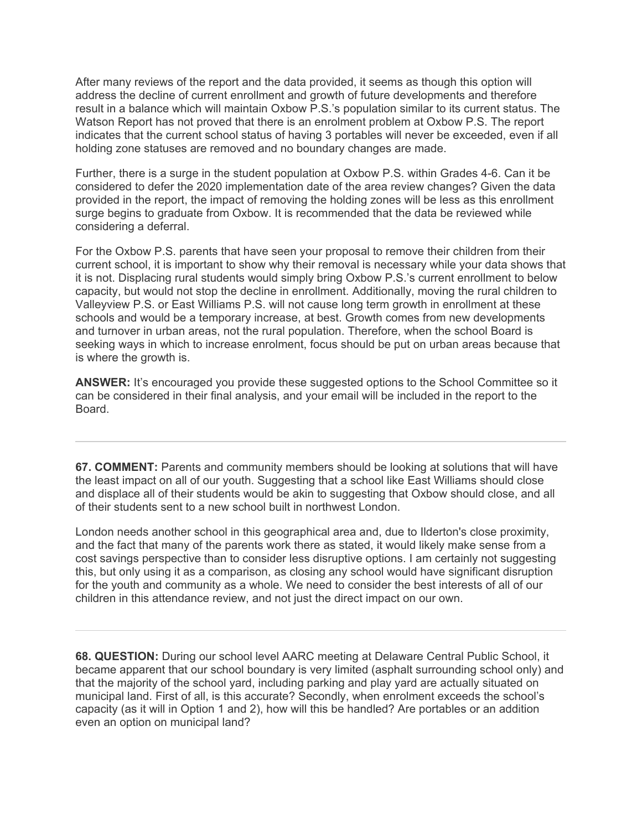After many reviews of the report and the data provided, it seems as though this option will address the decline of current enrollment and growth of future developments and therefore result in a balance which will maintain Oxbow P.S.'s population similar to its current status. The Watson Report has not proved that there is an enrolment problem at Oxbow P.S. The report indicates that the current school status of having 3 portables will never be exceeded, even if all holding zone statuses are removed and no boundary changes are made.

Further, there is a surge in the student population at Oxbow P.S. within Grades 4-6. Can it be considered to defer the 2020 implementation date of the area review changes? Given the data provided in the report, the impact of removing the holding zones will be less as this enrollment surge begins to graduate from Oxbow. It is recommended that the data be reviewed while considering a deferral.

For the Oxbow P.S. parents that have seen your proposal to remove their children from their current school, it is important to show why their removal is necessary while your data shows that it is not. Displacing rural students would simply bring Oxbow P.S.'s current enrollment to below capacity, but would not stop the decline in enrollment. Additionally, moving the rural children to Valleyview P.S. or East Williams P.S. will not cause long term growth in enrollment at these schools and would be a temporary increase, at best. Growth comes from new developments and turnover in urban areas, not the rural population. Therefore, when the school Board is seeking ways in which to increase enrolment, focus should be put on urban areas because that is where the growth is.

**ANSWER:** It's encouraged you provide these suggested options to the School Committee so it can be considered in their final analysis, and your email will be included in the report to the Board.

**67. COMMENT:** Parents and community members should be looking at solutions that will have the least impact on all of our youth. Suggesting that a school like East Williams should close and displace all of their students would be akin to suggesting that Oxbow should close, and all of their students sent to a new school built in northwest London.

London needs another school in this geographical area and, due to Ilderton's close proximity, and the fact that many of the parents work there as stated, it would likely make sense from a cost savings perspective than to consider less disruptive options. I am certainly not suggesting this, but only using it as a comparison, as closing any school would have significant disruption for the youth and community as a whole. We need to consider the best interests of all of our children in this attendance review, and not just the direct impact on our own.

**68. QUESTION:** During our school level AARC meeting at Delaware Central Public School, it became apparent that our school boundary is very limited (asphalt surrounding school only) and that the majority of the school yard, including parking and play yard are actually situated on municipal land. First of all, is this accurate? Secondly, when enrolment exceeds the school's capacity (as it will in Option 1 and 2), how will this be handled? Are portables or an addition even an option on municipal land?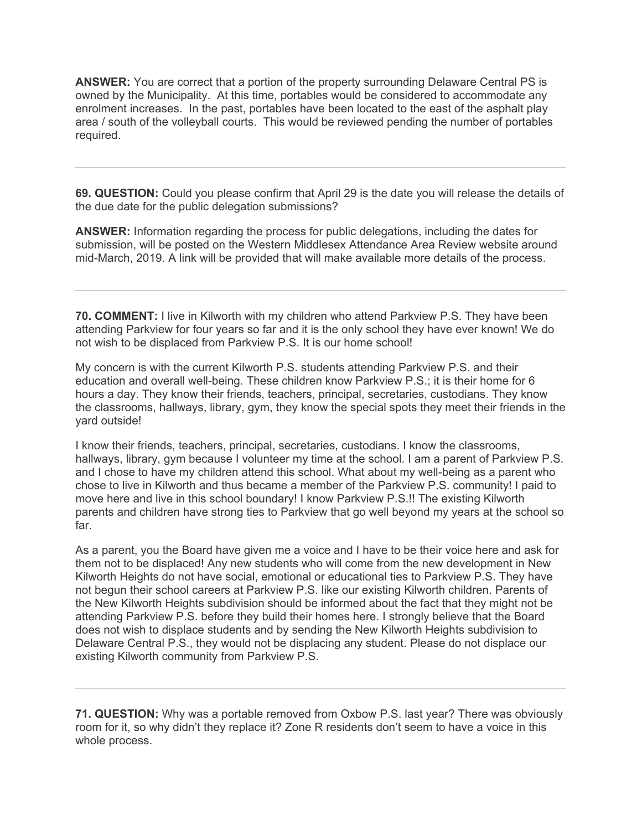**ANSWER:** You are correct that a portion of the property surrounding Delaware Central PS is owned by the Municipality. At this time, portables would be considered to accommodate any enrolment increases. In the past, portables have been located to the east of the asphalt play area / south of the volleyball courts. This would be reviewed pending the number of portables required.

**69. QUESTION:** Could you please confirm that April 29 is the date you will release the details of the due date for the public delegation submissions?

**ANSWER:** Information regarding the process for public delegations, including the dates for submission, will be posted on the Western Middlesex Attendance Area Review website around mid-March, 2019. A link will be provided that will make available more details of the process.

**70. COMMENT:** I live in Kilworth with my children who attend Parkview P.S. They have been attending Parkview for four years so far and it is the only school they have ever known! We do not wish to be displaced from Parkview P.S. It is our home school!

My concern is with the current Kilworth P.S. students attending Parkview P.S. and their education and overall well-being. These children know Parkview P.S.; it is their home for 6 hours a day. They know their friends, teachers, principal, secretaries, custodians. They know the classrooms, hallways, library, gym, they know the special spots they meet their friends in the yard outside!

I know their friends, teachers, principal, secretaries, custodians. I know the classrooms, hallways, library, gym because I volunteer my time at the school. I am a parent of Parkview P.S. and I chose to have my children attend this school. What about my well-being as a parent who chose to live in Kilworth and thus became a member of the Parkview P.S. community! I paid to move here and live in this school boundary! I know Parkview P.S.!! The existing Kilworth parents and children have strong ties to Parkview that go well beyond my years at the school so far.

As a parent, you the Board have given me a voice and I have to be their voice here and ask for them not to be displaced! Any new students who will come from the new development in New Kilworth Heights do not have social, emotional or educational ties to Parkview P.S. They have not begun their school careers at Parkview P.S. like our existing Kilworth children. Parents of the New Kilworth Heights subdivision should be informed about the fact that they might not be attending Parkview P.S. before they build their homes here. I strongly believe that the Board does not wish to displace students and by sending the New Kilworth Heights subdivision to Delaware Central P.S., they would not be displacing any student. Please do not displace our existing Kilworth community from Parkview P.S.

**71. QUESTION:** Why was a portable removed from Oxbow P.S. last year? There was obviously room for it, so why didn't they replace it? Zone R residents don't seem to have a voice in this whole process.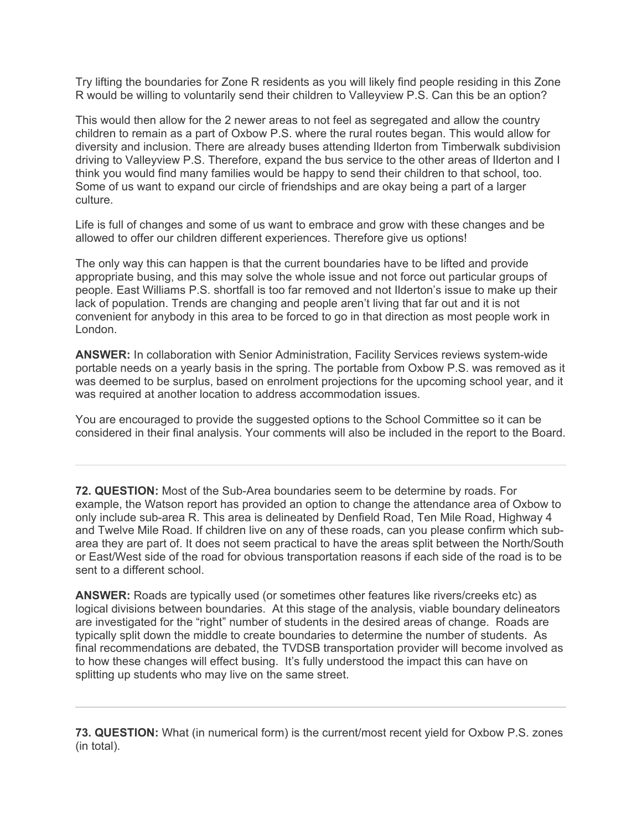Try lifting the boundaries for Zone R residents as you will likely find people residing in this Zone R would be willing to voluntarily send their children to Valleyview P.S. Can this be an option?

This would then allow for the 2 newer areas to not feel as segregated and allow the country children to remain as a part of Oxbow P.S. where the rural routes began. This would allow for diversity and inclusion. There are already buses attending Ilderton from Timberwalk subdivision driving to Valleyview P.S. Therefore, expand the bus service to the other areas of Ilderton and I think you would find many families would be happy to send their children to that school, too. Some of us want to expand our circle of friendships and are okay being a part of a larger culture.

Life is full of changes and some of us want to embrace and grow with these changes and be allowed to offer our children different experiences. Therefore give us options!

The only way this can happen is that the current boundaries have to be lifted and provide appropriate busing, and this may solve the whole issue and not force out particular groups of people. East Williams P.S. shortfall is too far removed and not Ilderton's issue to make up their lack of population. Trends are changing and people aren't living that far out and it is not convenient for anybody in this area to be forced to go in that direction as most people work in London.

**ANSWER:** In collaboration with Senior Administration, Facility Services reviews system-wide portable needs on a yearly basis in the spring. The portable from Oxbow P.S. was removed as it was deemed to be surplus, based on enrolment projections for the upcoming school year, and it was required at another location to address accommodation issues.

You are encouraged to provide the suggested options to the School Committee so it can be considered in their final analysis. Your comments will also be included in the report to the Board.

**72. QUESTION:** Most of the Sub-Area boundaries seem to be determine by roads. For example, the Watson report has provided an option to change the attendance area of Oxbow to only include sub-area R. This area is delineated by Denfield Road, Ten Mile Road, Highway 4 and Twelve Mile Road. If children live on any of these roads, can you please confirm which subarea they are part of. It does not seem practical to have the areas split between the North/South or East/West side of the road for obvious transportation reasons if each side of the road is to be sent to a different school.

**ANSWER:** Roads are typically used (or sometimes other features like rivers/creeks etc) as logical divisions between boundaries. At this stage of the analysis, viable boundary delineators are investigated for the "right" number of students in the desired areas of change. Roads are typically split down the middle to create boundaries to determine the number of students. As final recommendations are debated, the TVDSB transportation provider will become involved as to how these changes will effect busing. It's fully understood the impact this can have on splitting up students who may live on the same street.

**73. QUESTION:** What (in numerical form) is the current/most recent yield for Oxbow P.S. zones (in total).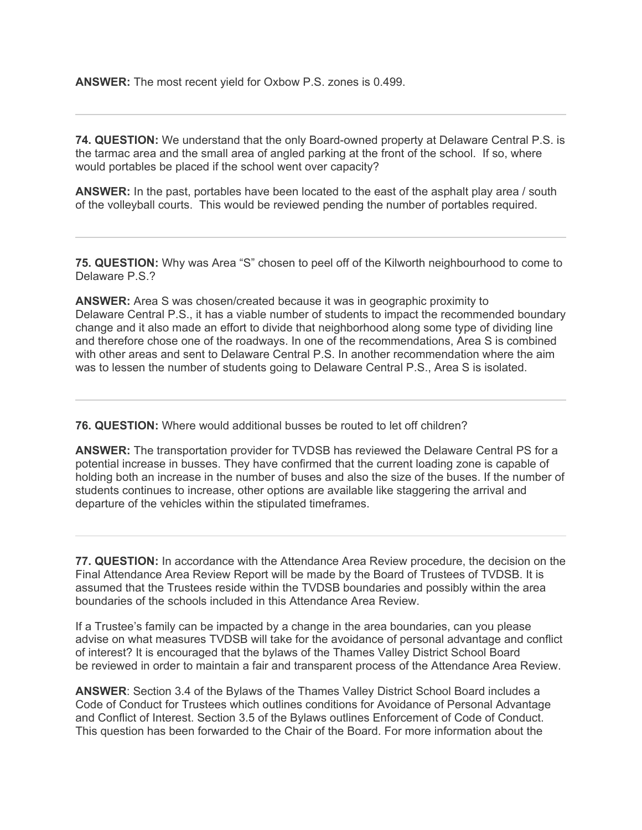**ANSWER:** The most recent yield for Oxbow P.S. zones is 0.499.

**74. QUESTION:** We understand that the only Board-owned property at Delaware Central P.S. is the tarmac area and the small area of angled parking at the front of the school. If so, where would portables be placed if the school went over capacity?

**ANSWER:** In the past, portables have been located to the east of the asphalt play area / south of the volleyball courts. This would be reviewed pending the number of portables required.

**75. QUESTION:** Why was Area "S" chosen to peel off of the Kilworth neighbourhood to come to Delaware P.S.?

**ANSWER:** Area S was chosen/created because it was in geographic proximity to Delaware Central P.S., it has a viable number of students to impact the recommended boundary change and it also made an effort to divide that neighborhood along some type of dividing line and therefore chose one of the roadways. In one of the recommendations, Area S is combined with other areas and sent to Delaware Central P.S. In another recommendation where the aim was to lessen the number of students going to Delaware Central P.S., Area S is isolated.

**76. QUESTION:** Where would additional busses be routed to let off children?

**ANSWER:** The transportation provider for TVDSB has reviewed the Delaware Central PS for a potential increase in busses. They have confirmed that the current loading zone is capable of holding both an increase in the number of buses and also the size of the buses. If the number of students continues to increase, other options are available like staggering the arrival and departure of the vehicles within the stipulated timeframes.

**77. QUESTION:** In accordance with the Attendance Area Review procedure, the decision on the Final Attendance Area Review Report will be made by the Board of Trustees of TVDSB. It is assumed that the Trustees reside within the TVDSB boundaries and possibly within the area boundaries of the schools included in this Attendance Area Review.

If a Trustee's family can be impacted by a change in the area boundaries, can you please advise on what measures TVDSB will take for the avoidance of personal advantage and conflict of interest? It is encouraged that the bylaws of the Thames Valley District School Board be reviewed in order to maintain a fair and transparent process of the Attendance Area Review.

**ANSWER**: Section 3.4 of the Bylaws of the Thames Valley District School Board includes a Code of Conduct for Trustees which outlines conditions for Avoidance of Personal Advantage and Conflict of Interest. Section 3.5 of the Bylaws outlines Enforcement of Code of Conduct. This question has been forwarded to the Chair of the Board. For more information about the